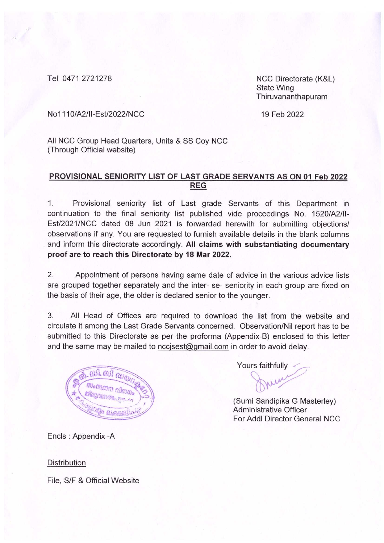Tel 0471 2721278

NCC Directorate (K&L) **State Wing** Thiruvananthapuram

No1110/A2/II-Est/2022/NCC

19 Feb 2022

All NCC Group Head Quarters, Units & SS Coy NCC (Through Official website)

## PROVISIONAL SENIORITY LIST OF LAST GRADE SERVANTS AS ON 01 Feb 2022 **REG**

 $1$ Provisional seniority list of Last grade Servants of this Department in continuation to the final seniority list published vide proceedings No. 1520/A2/II-Est/2021/NCC dated 08 Jun 2021 is forwarded herewith for submitting objections/ observations if any. You are requested to furnish available details in the blank columns and inform this directorate accordingly. All claims with substantiating documentary proof are to reach this Directorate by 18 Mar 2022.

 $2.$ Appointment of persons having same date of advice in the various advice lists are grouped together separately and the inter- se- seniority in each group are fixed on the basis of their age, the older is declared senior to the younger.

 $3.$ All Head of Offices are required to download the list from the website and circulate it among the Last Grade Servants concerned. Observation/Nil report has to be submitted to this Directorate as per the proforma (Appendix-B) enclosed to this letter and the same may be mailed to nccisest@gmail.com in order to avoid delay.



Yours faithfully

(Sumi Sandipika G Masterley) **Administrative Officer** For Addl Director General NCC

Encls: Appendix - A

**Distribution** 

File, S/F & Official Website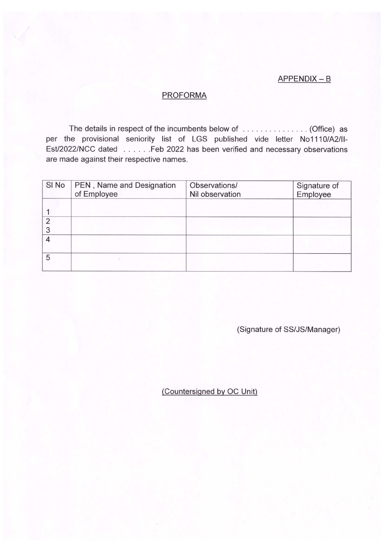## APPENDIX - B

## **PROFORMA**

The details in respect of the incumbents below of ............... (Office) as per the provisional seniority list of LGS published vide letter No1110/A2/II-Est/2022/NCC dated . . . . . . Feb 2022 has been verified and necessary observations are made against their respective names.

| SI No               | PEN, Name and Designation<br>of Employee | Observations/<br>Nil observation | Signature of<br>Employee |
|---------------------|------------------------------------------|----------------------------------|--------------------------|
|                     |                                          |                                  |                          |
| $\overline{2}$<br>3 |                                          |                                  |                          |
| 4                   |                                          |                                  |                          |
| 5                   |                                          |                                  |                          |

(Signature of SS/JS/Manager)

(Countersigned by OC Unit)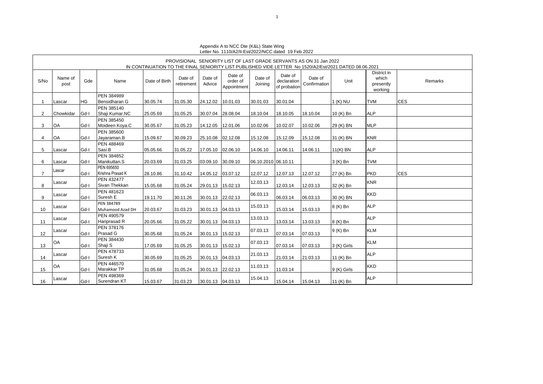|                      |                 |      |                               |               |                       |                    | Letter NV. TTTV/AZ/IPL3VZVZZ/NOO dated T9T ev Z0ZZ |                     |                                        |                                                                     |                                                                                                        |                                              |            |
|----------------------|-----------------|------|-------------------------------|---------------|-----------------------|--------------------|----------------------------------------------------|---------------------|----------------------------------------|---------------------------------------------------------------------|--------------------------------------------------------------------------------------------------------|----------------------------------------------|------------|
|                      |                 |      |                               |               |                       |                    |                                                    |                     |                                        | PROVISIONAL SENIORITY LIST OF LAST GRADE SERVANTS AS ON 31 Jan 2022 |                                                                                                        |                                              |            |
|                      |                 |      |                               |               |                       |                    |                                                    |                     |                                        |                                                                     | IN CONTINUATION TO THE FINAL SENIORITY LIST PUBLISHED VIDE LETTER No 1520/A2/Est/2021 DATED 08.06.2021 |                                              |            |
| S/No                 | Name of<br>post | Gde  | Name                          | Date of Birth | Date of<br>retirement | Date of<br>Advice  | Date of<br>order of<br>Appointment                 | Date of<br>Joining  | Date of<br>declaration<br>of probation | Date of<br>Confirmation                                             | Unit                                                                                                   | District in<br>which<br>presently<br>working | Remarks    |
|                      |                 |      | <b>PEN 384989</b>             |               |                       |                    |                                                    |                     |                                        |                                                                     |                                                                                                        |                                              |            |
| 1                    | Lascar          | HG   | Bensidharan G                 | 30.05.74      | 31.05.30              | 24.12.02           | 10.01.03                                           | 30.01.03            | 30.01.04                               |                                                                     | 1 (K) NU                                                                                               | <b>TVM</b>                                   | <b>CES</b> |
|                      |                 |      | PEN 385140                    |               |                       |                    |                                                    |                     |                                        |                                                                     |                                                                                                        |                                              |            |
| $\mathbf{2}^{\circ}$ | Chowkidar       | Gd-I | Shaji Kumar.NC                | 25.05.69      | 31.05.25              | 30.07.04           | 28.08.04                                           | 18.10.04            | 18.10.05                               | 18.10.04                                                            | 10 (K) Bn                                                                                              | <b>ALP</b>                                   |            |
|                      |                 |      | PEN 385450                    |               |                       |                    |                                                    |                     |                                        |                                                                     |                                                                                                        |                                              |            |
| 3                    | OA              | Gd-I | Moideen Koya.C                | 30.05.67      | 31.05.23              | 14.12.05           | 12.01.06                                           | 10.02.06            | 10.02.07                               | 10.02.06                                                            | 29 (K) BN                                                                                              | <b>MLP</b>                                   |            |
|                      |                 |      | PEN 385600                    |               |                       |                    |                                                    |                     |                                        |                                                                     |                                                                                                        |                                              |            |
| 4                    | OA              | Gd-I | Jayaraman.B                   | 15.09.67      | 30.09.23              | 25.10.08 02.12.08  |                                                    | 15.12.08            | 15.12.09                               | 15.12.08                                                            | 31 (K) BN                                                                                              | <b>KNR</b>                                   |            |
|                      |                 |      | PEN 488469                    |               |                       |                    |                                                    |                     |                                        |                                                                     |                                                                                                        |                                              |            |
| 5                    | Lascar          | Gd-I | Sasi.B                        | 05.05.66      | 31.05.22              | 17.05.10 02.06.10  |                                                    | 14.06.10            | 14.06.11                               | 14.06.11                                                            | $11(K)$ BN                                                                                             | <b>ALP</b>                                   |            |
|                      |                 | Gd-I | PEN 384852<br>Manikuttan.S    |               | 31.03.25              | 03.09.10 30.09.10  |                                                    | 06.10.2010 06.10.11 |                                        |                                                                     |                                                                                                        | <b>TVM</b>                                   |            |
| 6                    | Lascar          |      | PEN 695650                    | 20.03.69      |                       |                    |                                                    |                     |                                        |                                                                     | 3 (K) Bn                                                                                               |                                              |            |
| 7                    | Lascar          | Gd-I | Krishna Prasad K              | 28.10.86      | 31.10.42              | 14.05.12 03.07.12  |                                                    | 12.07.12            | 12.07.13                               | 12.07.12                                                            | 27 (K) Bn                                                                                              | <b>PKD</b>                                   | <b>CES</b> |
|                      |                 |      | <b>PEN 432477</b>             |               |                       |                    |                                                    |                     |                                        |                                                                     |                                                                                                        |                                              |            |
| 8                    | Lascar          | Gd-I | Sivan Thekkan                 | 15.05.68      | 31.05.24              | 29.01.13 15.02.13  |                                                    | 12.03.13            | 12.03.14                               | 12.03.13                                                            | 32 (K) Bn                                                                                              | <b>KNR</b>                                   |            |
| 9                    | Lascar          | Gd-I | <b>PEN 481623</b><br>Suresh E | 19.11.70      | 30.11.26              | 30.01.13 22.02.13  |                                                    | 06.03.13            | 06.03.14                               | 06.03.13                                                            | 30 (K) BN                                                                                              | <b>KKD</b>                                   |            |
|                      | Lascar          |      | PEN 384789                    |               |                       |                    |                                                    | 15.03.13            |                                        |                                                                     | 8 (K) Bn                                                                                               | <b>ALP</b>                                   |            |
| 10                   |                 | Gd-I | Muhamood Azad DH              | 20.03.67      | 31.03.23              | 30.01.13  04.03.13 |                                                    |                     | 15.03.14                               | 15.03.13                                                            |                                                                                                        |                                              |            |
| 11                   | Lascar          | Gd-I | PEN 490579<br>Hariprasad R    | 20.05.66      | 31.05.22              | 30.01.13 04.03.13  |                                                    | 13.03.13            | 13.03.14                               | 13.03.13                                                            | 8 (K) Bn                                                                                               | <b>ALP</b>                                   |            |
| 12                   | Lascar          | Gd-I | PEN 378176<br>Prasad G        | 30.05.68      | 31.05.24              | 30.01.13 15.02.13  |                                                    | 07.03.13            | 07.03.14                               | 07.03.13                                                            | 9 (K) Bn                                                                                               | <b>KLM</b>                                   |            |
| 13                   | OA              | Gd-I | PEN 384430<br>Shaji S         | 17.05.69      | 31.05.25              | 30.01.13           | 15.02.13                                           | 07.03.13            | 07.03.14                               | 07.03.13                                                            | 3 (K) Girls                                                                                            | <b>KLM</b>                                   |            |
|                      | Lascar          |      | PEN 478733<br>Suresh K        |               |                       |                    |                                                    | 21.03.13            |                                        |                                                                     |                                                                                                        | <b>ALP</b>                                   |            |
| 14                   |                 | Gd-I | PEN 446570                    | 30.05.69      | 31.05.25              | 30.01.13  04.03.13 |                                                    |                     | 21.03.14                               | 21.03.13                                                            | 11 (K) Bn                                                                                              |                                              |            |
| 15                   | <b>OA</b>       | Gd-I | Marakkar TP                   | 31.05.68      | 31.05.24              | 30.01.13 22.02.13  |                                                    | 11.03.13            | 11.03.14                               |                                                                     | 9 (K) Girls                                                                                            | <b>KKD</b>                                   |            |
|                      |                 |      | PEN 498369                    |               |                       |                    |                                                    |                     |                                        |                                                                     |                                                                                                        | <b>ALP</b>                                   |            |
| 16                   | Lascar          | Gd-I | Surendran KT                  | 15.03.67      | 31.03.23              | 30.01.13 04.03.13  |                                                    | 15.04.13            | 15.04.14                               | 15.04.13                                                            | 11 (K) Bn                                                                                              |                                              |            |

Appendix A to NCC Dte (K&L) State Wing Letter No. 1110/A2/II-Est/2022/NCC dated 19 Feb 2022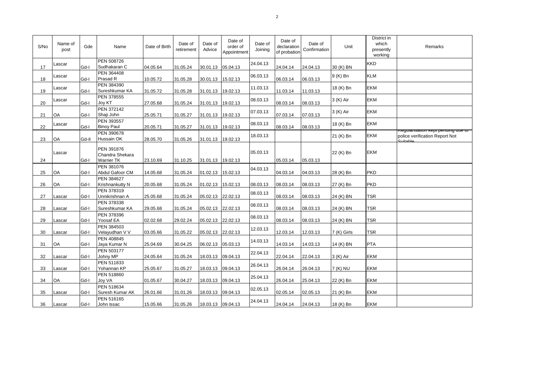| S/No | Name of<br>post | Gde   | Name                                               | Date of Birth | Date of<br>retirement | Date of<br>Advice | Date of<br>order of<br>Appointment | Date of<br>Joining | Date of<br>declaration<br>of probation | Date of<br>Confirmation | Unit        | District in<br>which<br>presently<br>working | Remarks                                                              |
|------|-----------------|-------|----------------------------------------------------|---------------|-----------------------|-------------------|------------------------------------|--------------------|----------------------------------------|-------------------------|-------------|----------------------------------------------|----------------------------------------------------------------------|
| 17   | Lascar          | Gd-I  | PEN 508726<br>Sudhakaran C                         | 04.05.64      | 31.05.24              | 30.01.13 05.04.13 |                                    | 24.04.13           | 24.04.14                               | 24.04.13                | 30 (K) BN   | <b>KKD</b>                                   |                                                                      |
| 18   | Lascar          | Gd-I  | PEN 364408<br>Prasad R                             | 10.05.72      | 31.05.28              | 30.01.13          | 15.02.13                           | 06.03.13           | 06.03.14                               | 06.03.13                | 9 (K) Bn    | <b>KLM</b>                                   |                                                                      |
| 19   | Lascar          | Gd-I  | PEN 384390<br>Sureshkumar KA                       | 31.05.72      | 31.05.28              | 31.01.13 19.02.13 |                                    | 11.03.13           | 11.03.14                               | 11.03.13                | 18 (K) Bn   | <b>EKM</b>                                   |                                                                      |
| 20   | Lascar          | Gd-I  | PEN 378555<br>Joy KT                               | 27.05.68      | 31.05.24              | 31.01.13          | 19.02.13                           | 08.03.13           | 08.03.14                               | 08.03.13                | 3 (K) Air   | <b>EKM</b>                                   |                                                                      |
| 21   | OA              | Gd-I  | <b>PEN 372142</b><br>Shaji John                    | 25.05.71      | 31.05.27              | 31.01.13          | 19.02.13                           | 07.03.13           | 07.03.14                               | 07.03.13                | 3 (K) Air   | <b>EKM</b>                                   |                                                                      |
| 22   | Lascar          | Gd-I  | PEN 393557<br><b>Binoy Paul</b>                    | 20.05.71      | 31.05.27              | 31.01.13 19.02.13 |                                    | 08.03.13           | 08.03.14                               | 08.03.13                | 18 (K) Bn   | <b>EKM</b>                                   |                                                                      |
| 23   | <b>OA</b>       | Gd-II | PEN 390678<br><b>Hussain OK</b>                    | 28.05.70      | 31.05.26              | 31.01.13          | 19.02.13                           | 18.03.13           |                                        |                         | 21 (K) Bn   | <b>EKM</b>                                   | Regularisation kept penuing que to<br>police verification Report Not |
| 24   | Lascar          | Gd-I  | PEN 391876<br>Chandra Shekara<br><b>Warrier TK</b> | 23.10.69      | 31.10.25              | 31.01.13 19.02.13 |                                    | 05.03.13           | 05.03.14                               | 05.03.13                | 22 (K) Bn   | <b>EKM</b>                                   |                                                                      |
| 25   | OA              | Gd-I  | PEN 381076<br>Abdul Gafoor CM                      | 14.05.68      | 31.05.24              | 01.02.13          | 15.02.13                           | 04.03.13           | 04.03.14                               | 04.03.13                | 28 (K) Bn   | <b>PKD</b>                                   |                                                                      |
| 26   | <b>OA</b>       | Gd-I  | PEN 384627<br>Krishnankutty N                      | 20.05.68      | 31.05.24              | 01.02.13 15.02.13 |                                    | 08.03.13           | 08.03.14                               | 08.03.13                | 27 (K) Bn   | <b>PKD</b>                                   |                                                                      |
| 27   | Lascar          | Gd-I  | PEN 378319<br>Unnikrishnan A                       | 25.05.68      | 31.05.24              | 05.02.13          | 22.02.13                           | 08.03.13           | 08.03.14                               | 08.03.13                | 24 (K) BN   | <b>TSR</b>                                   |                                                                      |
| 28   | Lascar          | Gd-I  | PEN 378338<br>Sureshkumar KA                       | 29.05.68      | 31.05.24              | 05.02.13          | 22.02.13                           | 08.03.13           | 08.03.14                               | 08.03.13                | 24 (K) BN   | <b>TSR</b>                                   |                                                                      |
| 29   | Lascar          | Gd-I  | PEN 378396<br>Yoosaf EA                            | 02.02.68      | 29.02.24              | 05.02.13 22.02.13 |                                    | 08.03.13           | 08.03.14                               | 08.03.13                | 24 (K) BN   | <b>TSR</b>                                   |                                                                      |
| 30   | Lascar          | Gd-I  | PEN 384503<br>Velayudhan V V                       | 03.05.66      | 31.05.22              | 05.02.13          | 22.02.13                           | 12.03.13           | 12.03.14                               | 12.03.13                | 7 (K) Girls | TSR                                          |                                                                      |
| 31   | OA              | Gd-I  | PEN 408845<br>Jaya Kumar N                         | 25.04.69      | 30.04.25              | 06.02.13          | 05.03.13                           | 14.03.13           | 14.03.14                               | 14.03.13                | 14 (K) BN   | <b>PTA</b>                                   |                                                                      |
| 32   | Lascar          | Gd-I  | PEN 503177<br>Johny MP                             | 24.05.64      | 31.05.24              | 18.03.13 09.04.13 |                                    | 22.04.13           | 22.04.14                               | 22.04.13                | 3 (K) Air   | <b>EKM</b>                                   |                                                                      |
| 33   | Lascar          | Gd-I  | PEN 511833<br>Yohannan KP                          | 25.05.67      | 31.05.27              | 18.03.13          | 09.04.13                           | 26.04.13           | 26.04.14                               | 26.04.13                | 7 (K) NU    | <b>EKM</b>                                   |                                                                      |
| 34   | OA              | Gd-I  | PEN 518860<br><b>Joy VA</b>                        | 01.05.67      | 30.04.27              | 18.03.13          | 09.04.13                           | 25.04.13           | 26.04.14                               | 25.04.13                | 22 (K) Bn   | <b>EKM</b>                                   |                                                                      |
| 35   | Lascar          | Gd-I  | PEN 518634<br>Suresh Kumar AK                      | 26.01.66      | 31.01.26              | 18.03.13 09.04.13 |                                    | 02.05.13           | 02.05.14                               | 02.05.13                | 21 (K) Bn   | <b>EKM</b>                                   |                                                                      |
| 36   | Lascar          | Gd-I  | PEN 516165<br>John Issac                           | 15.05.66      | 31.05.26              | 18.03.13 09.04.13 |                                    | 24.04.13           | 24.04.14                               | 24.04.13                | 18 (K) Bn   | <b>EKM</b>                                   |                                                                      |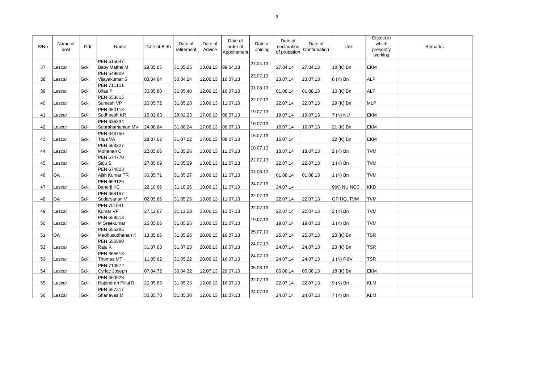| S/No | Name of<br>post | Gde  | Name                             | Date of Birth | Date of<br>retirement | Date of<br>Advice | Date of<br>order of<br>Appointment | Date of<br>Joining | Date of<br>declaration<br>of probation | Date of<br>Confirmation | Unit          | District in<br>which<br>presently<br>working | Remarks |
|------|-----------------|------|----------------------------------|---------------|-----------------------|-------------------|------------------------------------|--------------------|----------------------------------------|-------------------------|---------------|----------------------------------------------|---------|
| 37   | Lascar          | Gd-I | PEN 515047<br>Baby Mathai M      | 29.05.65      | 31.05.25              |                   | 18.03.13 09.04.13                  | 27.04.13           | 27.04.14                               | 27.04.13                | 18 (K) Bn     | <b>EKM</b>                                   |         |
| 38   | Lascar          | Gd-I | PEN 649809<br>Vijayakumar S      | 03.04.64      | 30.04.24              | 12.06.13          | 16.07.13                           | 23.07.13           | 23.07.14                               | 23.07.13                | 8 (K) Bn      | <b>ALP</b>                                   |         |
| 39   | Lascar          | Gd-I | <b>PEN 711111</b><br>Ullas P     | 30.05.80      | 31.05.40              | 12.06.13          | 16.07.13                           | 01.08.13           | 01.08.14                               | 01.08.13                | 10 (K) Bn     | <b>ALP</b>                                   |         |
| 40   | Lascar          | Gd-I | PEN 653615<br>Sumesh VP          | 20.05.72      | 31.05.28              |                   | 13.06.13 11.07.13                  | 22.07.13           | 22.07.14                               | 22.07.13                | 29 (K) Bn     | <b>MLP</b>                                   |         |
| 41   | Lascar          | Gd-I | PEN 650113<br>Sudheesh KR        | 15.02.63      | 28.02.23              | 17.06.13          | 08.07.13                           | 19.07.13           | 19.07.14                               | 19.07.13                | 7 (K) NU      | <b>EKM</b>                                   |         |
| 42   | Lascar          | Gd-I | PEN 636334<br>Subrahamanian MV   | 24.08.64      | 31.08.24              |                   | 17.06.13 08.07.13                  | 16.07.13           | 16.07.14                               | 16.07.13                | 21 (K) Bn     | <b>EKM</b>                                   |         |
| 43   | Lascar          | Gd-I | PEN 643750<br><b>Titus VA</b>    | 28.07.62      | 31.07.22              |                   | 17.06.13 08.07.13                  | 16.07.13           | 16.07.14                               |                         | 22 (K) Bn     | <b>EKM</b>                                   |         |
| 44   | Lascar          | Gd-I | PEN 668227<br>Mohanan C          | 22.05.66      | 31.05.26              |                   | 18.06.13 11.07.13                  | 18.07.13           | 18.07.14                               | 18.07.13                | 2 (K) Bn      | <b>TVM</b>                                   |         |
| 45   | Lascar          | Gd-I | PEN 674770<br>Saju S             | 27.05.69      | 31.05.29              |                   | 18.06.13 11.07.13                  | 22.07.13           | 22.07.14                               | 22.07.13                | 1 (K) Bn      | <b>TVM</b>                                   |         |
| 46   | OA              | Gd-I | PEN 674823<br>Ajith Kumar TR     | 30.05.71      | 31.05.27              |                   | 18.06.13 11.07.13                  | 01.08.13           | 01.08.14                               | 01.08.13                | 1 (K) Bn      | <b>TVM</b>                                   |         |
| 47   | Lascar          | Gd-I | PEN 669126<br>Banerji KC         | 22.10.66      | 31.10.26              |                   | 18.06.13 11.07.13                  | 24.07.13           | 24.07.14                               |                         | $9(K)$ NU NCC | <b>KKD</b>                                   |         |
| 48   | OA              | Gd-I | PEN 668157<br>Sudarsanan V       | 02.05.66      | 31.05.26              |                   | 18.06.13 11.07.13                  | 22.07.13           | 22.07.14                               | 22.07.13                | GP HQ, TVM    | <b>TVM</b>                                   |         |
| 49   | Lascar          | Gd-I | PEN 701041<br>Kumar VP           | 27.12.67      | 31.12.23              |                   | 18.06.13 11.07.13                  | 22.07.13           | 22.07.14                               | 22.07.13                | 2 (K) Bn      | <b>TVM</b>                                   |         |
| 50   | Lascar          | Gd-I | PEN 659513<br>M Sreekumar        | 25.05.66      | 31.05.26              |                   | 18.06.13 11.07.13                  | 19.07.13           | 19.07.14                               | 19.07.13                | 1 (K) Bn      | <b>TVM</b>                                   |         |
| 51   | <b>OA</b>       | Gd-I | PEN 655285<br>Madhusudhanan K    | 13.05.66      | 31.05.26              | 20.06.13 16.07.13 |                                    | 25.07.13           | 25.07.14                               | 25.07.13                | 23 (K) Bn     | <b>TSR</b>                                   |         |
| 52   | Lascar          | Gd-I | PEN 655580<br>Raju K             | 31.07.63      | 31.07.23              | 20.06.13          | 16.07.13                           | 24.07.13           | 24.07.14                               | 24.07.13                | 23 (K) Bn     | <b>TSR</b>                                   |         |
| 53   | Lascar          | Gd-I | PEN 665518<br>Thomas MT          | 11.05.62      | 31.05.22              | 20.06.13 16.07.13 |                                    | 24 07 13           | 24.07.14                               | 24.07.13                | 1 (K) R&V     | <b>TSR</b>                                   |         |
| 54   | Lascar          | Gd-I | PEN 710572<br>Cyriac Joseph      | 07.04.72      | 30.04.32              |                   | 12.07.13 29.07.13                  | 05.08.13           | 05.08.14                               | 05.08.13                | 18 (K) Bn     | <b>EKM</b>                                   |         |
| 55   | Lascar          | Gd-I | PEN 650928<br>Rajendran Pillai B | 20.05.65      | 31.05.25              |                   | 12.06.13 16.07.13                  | 22.07.13           | 22.07.14                               | 22.07.13                | 9 (K) Bn      | <b>KLM</b>                                   |         |
| 56   | Lascar          | Gd-I | PEN 657217<br>Shanavas M         | 30.05.70      | 31.05.30              |                   | 12.06.13 16.07.13                  | 24.07.13           | 24.07.14                               | 24.07.13                | 7 (K) Bn      | <b>KLM</b>                                   |         |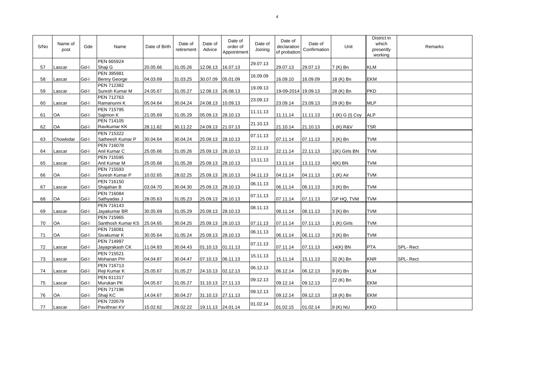| S/No | Name of<br>post | Gde  | Name                                     | Date of Birth | Date of<br>retirement | Date of<br>Advice | Date of<br>order of<br>Appointment | Date of<br>Joining | Date of<br>declaration<br>of probation | Date of<br>Confirmation | Unit            | District in<br>which<br>presently<br>working | Remarks  |
|------|-----------------|------|------------------------------------------|---------------|-----------------------|-------------------|------------------------------------|--------------------|----------------------------------------|-------------------------|-----------------|----------------------------------------------|----------|
| 57   | Lascar          | Gd-I | PEN 665924<br>Shaji G                    | 20.05.66      | 31.05.26              | 12.06.13          | 16.07.13                           | 29.07.13           | 29.07.13                               | 29.07.13                | 7 (K) Bn        | <b>KLM</b>                                   |          |
| 58   | Lascar          | Gd-I | PEN 395981<br><b>Benny George</b>        | 04.03.69      | 31.03.25              | 30.07.09          | 05.01.09                           | 16.09.09           | 16.09.10                               | 16.09.09                | 18 (K) Bn       | <b>EKM</b>                                   |          |
| 59   | Lascar          | Gd-I | PEN 712382<br>Suresh Kumar M             | 24.05.67      | 31.05.27              | 12.08.13          | 26.08.13                           | 19.09.13           | 19-09-2014 19.09.13                    |                         | 28 (K) Bn       | <b>PKD</b>                                   |          |
| 60   | Lascar          | Gd-I | PEN 712763<br>Ramanunni K                | 05.04.64      | 30.04.24              | 24.08.13          | 10.09.13                           | 23.09.13           | 23.09.14                               | 23.09.13                | 29 (K) Bn       | <b>MLP</b>                                   |          |
| 61   | OA              | Gd-I | PEN 715795<br>Sajimon K                  | 21.05.69      | 31.05.29              | 05.09.13 28.10.13 |                                    | 11.11.13           | 11.11.14                               | 11.11.13                | 1 (K) G (I) Coy | <b>ALP</b>                                   |          |
| 62   | OA              | Gd-I | PEN 714105<br>Ravikumar KK               | 28.11.62      | 30.11.22              | 24.09.13 21.07.13 |                                    | 21.10.13           | 21.10.14                               | 21.10.13                | 1 (K) R&V       | <b>TSR</b>                                   |          |
| 63   | Chowkidar       | Gd-I | PEN 715322<br>Satheesh Kumar P           | 30.04.64      | 30.04.24              | 25.09.13 28.10.13 |                                    | 07.11.13           | 07.11.14                               | 07.11.13                | 3 (K) Bn        | <b>TVM</b>                                   |          |
| 64   | Lascar          | Gd-I | PEN 716078<br>Anil Kumar C               | 25.05.66      | 31.05.26              | 25.09.13          | 28.10.13                           | 22.11.13           | 22.11.14                               | 22.11.13                | 1(K) Girls BN   | <b>TVM</b>                                   |          |
| 65   | Lascar          | Gd-I | PEN 715595<br>Anil Kumar M               | 25.05.68      | 31.05.28              | 25.09.13 28.10.13 |                                    | 13.11.13           | 13.11.14                               | 13.11.13                | $4(K)$ BN       | <b>TVM</b>                                   |          |
| 66   | OA              | Gd-I | PEN 715593<br>Suresh Kumar P             | 10.02.65      | 28.02.25              | 25.09.13          | 28.10.13                           | 04.11.13           | 04.11.14                               | 04.11.13                | 1 (K) Air       | <b>TVM</b>                                   |          |
| 67   | Lascar          | Gd-I | PEN 716150<br>Shajahan B                 | 03.04.70      | 30.04.30              | 25.09.13          | 28.10.13                           | 06.11.13           | 06.11.14                               | 06.11.13                | 3 (K) Bn        | <b>TVM</b>                                   |          |
| 68   | OA              | Gd-I | PEN 716084<br>Sathyadas J                | 28.05.63      | 31.05.23              | 25.09.13          | 28.10.13                           | 07.11.13           | 07.11.14                               | 07.11.13                | GP HQ, TVM      | <b>TVM</b>                                   |          |
| 69   | Lascar          | Gd-I | PEN 716143<br>Jayakumar BR               | 30.05.69      | 31.05.29              | 25.09.13 28.10.13 |                                    | 08.11.13           | 08.11.14                               | 08.11.13                | 3 (K) Bn        | <b>TVM</b>                                   |          |
| 70   | OA              | Gd-I | PEN 715965<br>Santhosh Kumar KS 25.04.65 |               | 30.04.25              | 25.09.13          | 28.10.13                           | 07.11.13           | 07.11.14                               | 07.11.13                | 1 (K) Girls     | <b>TVM</b>                                   |          |
| 71   | OA              | Gd-I | PEN 716081<br>Sivakumar K                | 30.05.64      | 31.05.24              | 25.09.13 28.10.13 |                                    | 06.11.13           | 06.11.14                               | 06.11.13                | 3 (K) Bn        | <b>TVM</b>                                   |          |
| 72   | Lascar          | Gd-I | PEN 714997<br>Jayaprakash CK             | 11.04.83      | 30.04.43              | 01.10.13          | 01.11.13                           | 07.11.13           | 07.11.14                               | 07.11.13                | 14(K) BN        | <b>PTA</b>                                   | SPL-Rect |
| 73   | Lascar          | Gd-I | PEN 715521<br>Mohanan PH                 | 04.04.87      | 30.04.47              | 07.10.13 06.11.13 |                                    | 15 11 13           | 15.11.14                               | 15.11.13                | 32 (K) Bn       | <b>KNR</b>                                   | SPL-Rect |
| 74   | Lascar          | Gd-I | PEN 716713<br>Reji Kumar K               | 25.05.67      | 31.05.27              | 24.10.13 02.12.13 |                                    | 06.12.13           | 06.12.14                               | 06.12.13                | 9 (K) Bn        | <b>KLM</b>                                   |          |
| 75   | Lascar          | Gd-I | PEN 611317<br>Murukan PK                 | 04.05.67      | 31.05.27              | 31.10.13 27.11.13 |                                    | 09.12.13           | 09.12.14                               | 09.12.13                | 22 (K) Bn       | <b>EKM</b>                                   |          |
| 76   | OA              | Gd-I | PEN 717196<br>Shaji KC                   | 14.04.67      | 30.04.27              | 31.10.13 27.11.13 |                                    | 09.12.13           | 09.12.14                               | 09.12.13                | 18 (K) Bn       | <b>EKM</b>                                   |          |
| 77   | Lascar          | Gd-I | PEN 720579<br>Pavithran KV               | 15.02.62      | 28.02.22              | 19.11.13 24.01.14 |                                    | 01.02.14           | 01.02.15                               | 01.02.14                | 9 (K) NU        | <b>KKD</b>                                   |          |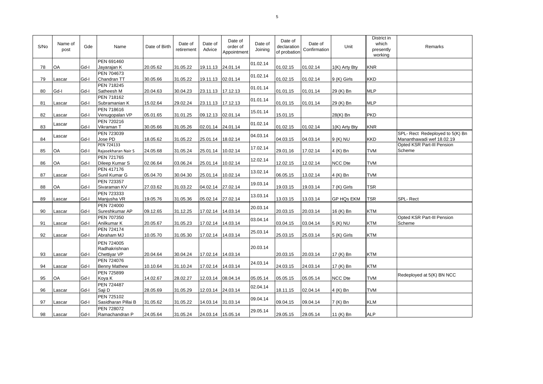| S/No | Name of<br>post | Gde  | Name                                     | Date of Birth | Date of<br>retirement | Date of<br>Advice | Date of<br>order of<br>Appointment | Date of<br>Joining | Date of<br>declaration<br>of probation | Date of<br>Confirmation | Unit          | District in<br>which<br>presently<br>working | Remarks                                                      |
|------|-----------------|------|------------------------------------------|---------------|-----------------------|-------------------|------------------------------------|--------------------|----------------------------------------|-------------------------|---------------|----------------------------------------------|--------------------------------------------------------------|
| 78   | OA              | Gd-I | PEN 691460<br>Jayarajan K                | 20.05.62      | 31.05.22              | 19.11.13 24.01.14 |                                    | 01.02.14           | 01.02.15                               | 01.02.14                | 1(K) Arty Bty | <b>KNR</b>                                   |                                                              |
| 79   | Lascar          | Gd-I | PEN 704673<br>Chandran TT                | 30.05.66      | 31.05.22              | 19.11.13          | 02.01.14                           | 01.02.14           | 01.02.15                               | 01.02.14                | 9 (K) Girls   | <b>KKD</b>                                   |                                                              |
| 80   | Gd-I            | Gd-I | PEN 718245<br>Satheesh M                 | 20.04.63      | 30.04.23              | 23.11.13 17.12.13 |                                    | 01.01.14           | 01.01.15                               | 01.01.14                | 29 (K) Bn     | <b>MLP</b>                                   |                                                              |
| 81   | Lascar          | Gd-I | PEN 718162<br>Subramanian K              | 15.02.64      | 29.02.24              | 23.11.13 17.12.13 |                                    | 01.01.14           | 01.01.15                               | 01.01.14                | 29 (K) Bn     | <b>MLP</b>                                   |                                                              |
| 82   | Lascar          | Gd-I | PEN 718616<br>Venugopalan VP             | 05.01.65      | 31.01.25              | 09.12.13 02.01.14 |                                    | 15.01.14           | 15.01.15                               |                         | 28(K) Bn      | PKD                                          |                                                              |
| 83   | Lascar          | Gd-I | PEN 720216<br>Vikraman T                 | 30.05.66      | 31.05.26              | 02.01.14 24.01.14 |                                    | 01.02.14           | 01.02.15                               | 01.02.14                | 1(K) Arty Bty | <b>KNR</b>                                   |                                                              |
| 84   | Lascar          | Gd-I | PEN 723039<br>Jose PD                    | 18.05.62      | 31.05.22              | 25.01.14          | 18.02.14                           | 04.03.14           | 04.03.15                               | 04.03.14                | 9 (K) NU      | <b>KKD</b>                                   | SPL- Rect Redeployed to 5(K) Bn<br>Mananthawadi wef 18.02.19 |
| 85   | OA              | Gd-I | PEN 724133<br>Rajasekharan Nair S        | 24.05.68      | 31.05.24              | 25.01.14          | 10.02.14                           | 17.02.14           | 29.01.16                               | 17.02.14                | 4 (K) Bn      | <b>TVM</b>                                   | Opted KSR Part-III Pension<br>Scheme                         |
| 86   | OA              | Gd-I | PEN 721765<br>Dileep Kumar S             | 02.06.64      | 03.06.24              | 25.01.14          | 10.02.14                           | 12.02.14           | 12.02.15                               | 12.02.14                | NCC Dte       | <b>TVM</b>                                   |                                                              |
| 87   | Lascar          | Gd-I | <b>PEN 417176</b><br>Sunil Kumar G       | 05.04.70      | 30.04.30              | 25.01.14          | 10.02.14                           | 13.02.14           | 06.05.15                               | 13.02.14                | 4 (K) Bn      | <b>TVM</b>                                   |                                                              |
| 88   | <b>OA</b>       | Gd-I | PEN 723357<br>Sivaraman KV               | 27.03.62      | 31.03.22              | 04.02.14          | 27.02.14                           | 19.03.14           | 19.03.15                               | 19.03.14                | 7 (K) Girls   | <b>TSR</b>                                   |                                                              |
| 89   | Lascar          | Gd-I | PEN 723333<br>Manjusha VR                | 19.05.76      | 31.05.36              | 05.02.14 27.02.14 |                                    | 13.03.14           | 13.03.15                               | 13.03.14                | GP HQs EKM    | <b>TSR</b>                                   | SPL-Rect                                                     |
| 90   | Lascar          | Gd-I | <b>PEN 724000</b><br>Sureshkumar AP      | 09.12.65      | 31.12.25              | 17.02.14          | 14.03.14                           | 20.03.14           | 20.03.15                               | 20.03.14                | 16 (K) Bn     | <b>KTM</b>                                   |                                                              |
| 91   | Lascar          | Gd-I | PEN 707350<br>Anilkumar K                | 20.05.67      | 31.05.23              | 17.02.14          | 14.03.14                           | 03.04.14           | 03.04.15                               | 03.04.14                | 5 (K) NU      | <b>KTM</b>                                   | Opted KSR Part-III Pension<br>Scheme                         |
| 92   | Lascar          | Gd-I | <b>PEN 724174</b><br>Abraham MJ          | 10.05.70      | 31.05.30              | 17.02.14 14.03.14 |                                    | 25.03.14           | 25.03.15                               | 25.03.14                | 5 (K) Girls   | <b>KTM</b>                                   |                                                              |
|      |                 |      | PEN 724005<br>Radhakrishnan              |               |                       |                   |                                    | 20.03.14           |                                        |                         |               |                                              |                                                              |
| 93   | Lascar          | Gd-I | Chettiyar VP                             | 20.04.64      | 30.04.24              | 17.02.14 14.03.14 |                                    |                    | 20.03.15                               | 20.03.14                | 17 (K) Bn     | <b>KTM</b>                                   |                                                              |
| 94   | Lascar          | Gd-I | PEN 724076<br><b>Benny Mathew</b>        | 10.10.64      | 31.10.24              | 17.02.14          | 14.03.14                           | 24.03.14           | 24.03.15                               | 24.03.14                | 17 (K) Bn     | <b>KTM</b>                                   |                                                              |
| 95   | OA              | Gd-I | PEN 725899<br>Koya K                     | 14.02.67      | 28.02.27              | 12.03.14          | 08.04.14                           | 05.05.14           | 05.05.15                               | 05.05.14                | NCC Dte       | <b>TVM</b>                                   | Redeployed at 5(K) BN NCC                                    |
| 96   | Lascar          | Gd-I | PEN 724487<br>Saji D                     | 28.05.69      | 31.05.29              | 12.03.14 24.03.14 |                                    | 02.04.14           | 18.11.15                               | 02.04.14                | 4 (K) Bn      | <b>TVM</b>                                   |                                                              |
| 97   | Lascar          | Gd-I | <b>PEN 725102</b><br>Sasidharan Pillai B | 31.05.62      | 31.05.22              | 14.03.14 31.03.14 |                                    | 09.04.14           | 09.04.15                               | 09.04.14                | 7 (K) Bn      | <b>KLM</b>                                   |                                                              |
| 98   | Lascar          | Gd-I | PEN 728072<br>Ramachandran P             | 24.05.64      | 31.05.24              | 24.03.14 15.05.14 |                                    | 29.05.14           | 29.05.15                               | 29.05.14                | 11 (K) Bn     | <b>ALP</b>                                   |                                                              |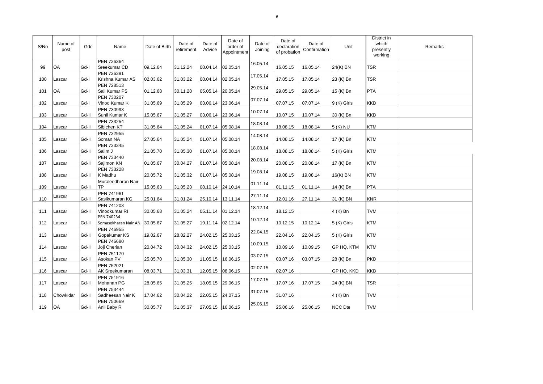| S/No | Name of<br>post | Gde   | Name                                        | Date of Birth | Date of<br>retirement | Date of<br>Advice | Date of<br>order of<br>Appointment | Date of<br>Joining | Date of<br>declaration<br>of probation | Date of<br>Confirmation | Unit           | District in<br>which<br>presently<br>working | Remarks |
|------|-----------------|-------|---------------------------------------------|---------------|-----------------------|-------------------|------------------------------------|--------------------|----------------------------------------|-------------------------|----------------|----------------------------------------------|---------|
| 99   | OA              | Gd-I  | PEN 726364<br>Sreekumar CD                  | 09.12.64      | 31.12.24              | 08.04.14          | 02.05.14                           | 16.05.14           | 16.05.15                               | 16.05.14                | 24(K) BN       | <b>TSR</b>                                   |         |
| 100  | Lascar          | Gd-I  | PEN 726391<br>Krishna Kumar AS              | 02.03.62      | 31.03.22              | 08.04.14          | 02.05.14                           | 17.05.14           | 17.05.15                               | 17.05.14                | 23 (K) Bn      | <b>TSR</b>                                   |         |
| 101  | OA              | Gd-I  | PEN 728513<br>Sali Kumar PS                 | 01.12.68      | 30.11.28              | 05.05.14          | 20.05.14                           | 29.05.14           | 29.05.15                               | 29.05.14                | 15 (K) Bn      | <b>PTA</b>                                   |         |
| 102  | Lascar          | Gd-I  | PEN 730207<br>Vinod Kumar K                 | 31.05.69      | 31.05.29              | 03.06.14          | 23.06.14                           | 07.07.14           | 07.07.15                               | 07.07.14                | 9 (K) Girls    | <b>KKD</b>                                   |         |
| 103  | Lascar          | Gd-II | PEN 730993<br>Sunil Kumar K                 | 15.05.67      | 31.05.27              | 03.06.14 23.06.14 |                                    | 10.07.14           | 10.07.15                               | 10.07.14                | 30 (K) Bn      | <b>KKD</b>                                   |         |
| 104  | Lascar          | Gd-II | PEN 733254<br>Sibichen KT                   | 31.05.64      | 31.05.24              | 01.07.14 05.08.14 |                                    | 18.08.14           | 18.08.15                               | 18.08.14                | 5 (K) NU       | <b>KTM</b>                                   |         |
| 105  | Lascar          | Gd-II | PEN 732955<br>Soman NA                      | 27.05.64      | 31.05.24              | 01.07.14 05.08.14 |                                    | 14.08.14           | 14.08.15                               | 14.08.14                | 17 (K) Bn      | <b>KTM</b>                                   |         |
| 106  | Lascar          | Gd-II | PEN 733345<br>Salim J                       | 21.05.70      | 31.05.30              | 01.07.14          | 05.08.14                           | 18.08.14           | 18.08.15                               | 18.08.14                | 5 (K) Girls    | <b>KTM</b>                                   |         |
| 107  | Lascar          | Gd-II | PEN 733440<br>Sajimon KN                    | 01.05.67      | 30.04.27              | 01.07.14 05.08.14 |                                    | 20.08.14           | 20.08.15                               | 20.08.14                | 17 (K) Bn      | <b>KTM</b>                                   |         |
| 108  | Lascar          | Gd-II | PEN 733228<br>K Madhu                       | 20.05.72      | 31.05.32              | 01.07.14          | 05.08.14                           | 19.08.14           | 19.08.15                               | 19.08.14                | $16(K)$ BN     | <b>KTM</b>                                   |         |
| 109  | Lascar          | Gd-II | Muraleedharan Nair<br><b>TP</b>             | 15.05.63      | 31.05.23              | 08.10.14          | 24.10.14                           | 01.11.14           | 01.11.15                               | 01.11.14                | 14 (K) Bn      | <b>PTA</b>                                   |         |
| 110  | Lascar          | Gd-II | PEN 741961<br>Sasikumaran KG                | 25.01.64      | 31.01.24              | 25.10.14 13.11.14 |                                    | 27.11.14           | 12.01.16                               | 27.11.14                | 31 (K) BN      | <b>KNR</b>                                   |         |
| 111  | Lascar          | Gd-II | PEN 741203<br>Vinodkumar RI                 | 30.05.68      | 31.05.24              | 05.11.14 01.12.14 |                                    | 18.12.14           | 18.12.15                               |                         | 4 (K) Bn       | <b>TVM</b>                                   |         |
| 112  | Lascar          | Gd-II | PEN 740234<br>Somasekharan Nair AN 30.05.67 |               | 31.05.27              | 19.11.14          | 02.12.14                           | 10.12.14           | 10.12.15                               | 10.12.14                | 5 (K) Girls    | <b>KTM</b>                                   |         |
| 113  | Lascar          | Gd-II | PEN 746955<br>Gopakumar KS                  | 19.02.67      | 28.02.27              | 24.02.15          | 25.03.15                           | 22.04.15           | 22.04.16                               | 22.04.15                | 5 (K) Girls    | <b>KTM</b>                                   |         |
| 114  | Lascar          | Gd-II | PEN 746680<br>Joji Cherian                  | 20.04.72      | 30.04.32              | 24.02.15          | 25.03.15                           | 10.09.15           | 10.09.16                               | 10.09.15                | GP HQ, KTM     | <b>KTM</b>                                   |         |
| 115  | Lascar          | Gd-II | PEN 751170<br>Asokan PV                     | 25.05.70      | 31.05.30              | 11.05.15 16.06.15 |                                    | 03.07.15           | 03.07.16                               | 03.07.15                | 28 (K) Bn      | <b>PKD</b>                                   |         |
| 116  | Lascar          | Gd-II | PEN 752021<br>AK Sreekumaran                | 08.03.71      | 31.03.31              | 12.05.15          | 08.06.15                           | 02.07.15           | 02.07.16                               |                         | GP HQ, KKD     | <b>KKD</b>                                   |         |
| 117  | Lascar          | Gd-II | PEN 751916<br>Mohanan PG                    | 28.05.65      | 31.05.25              | 18.05.15          | 29.06.15                           | 17.07.15           | 17.07.16                               | 17.07.15                | 24 (K) BN      | <b>TSR</b>                                   |         |
| 118  | Chowkidar       | Gd-II | PEN 753444<br>Sadheesan Nair K              | 17.04.62      | 30.04.22              | 22.05.15          | 24.07.15                           | 31.07.15           | 31.07.16                               |                         | 4 (K) Bn       | <b>TVM</b>                                   |         |
| 119  | <b>OA</b>       | Gd-II | PEN 750669<br>Anil Baby R                   | 30.05.77      | 31.05.37              | 27.05.15 16.06.15 |                                    | 25.06.15           | 25.06.16                               | 25.06.15                | <b>NCC Dte</b> | <b>TVM</b>                                   |         |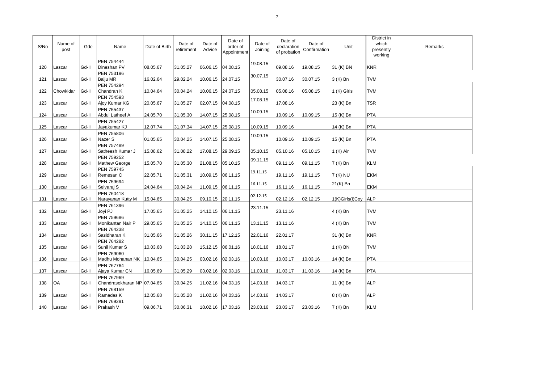| S/No | Name of<br>post | Gde   | Name                                      | Date of Birth | Date of<br>retirement | Date of<br>Advice | Date of<br>order of<br>Appointment | Date of<br>Joining | Date of<br>declaration<br>of probation | Date of<br>Confirmation | Unit            | District in<br>which<br>presently<br>working | Remarks |
|------|-----------------|-------|-------------------------------------------|---------------|-----------------------|-------------------|------------------------------------|--------------------|----------------------------------------|-------------------------|-----------------|----------------------------------------------|---------|
| 120  | Lascar          | Gd-II | <b>PEN 754444</b><br>Dineshan PV          | 08.05.67      | 31.05.27              | 06.06.15 04.08.15 |                                    | 19.08.15           | 09.08.16                               | 19.08.15                | 31 (K) BN       | <b>KNR</b>                                   |         |
| 121  | Lascar          | Gd-II | PEN 753196<br>Baiju MR                    | 16.02.64      | 29.02.24              |                   | 10.06.15 24.07.15                  | 30.07.15           | 30.07.16                               | 30.07.15                | 3 (K) Bn        | <b>TVM</b>                                   |         |
| 122  | Chowkidar       | Gd-II | PEN 754294<br>Chandran K                  | 10.04.64      | 30.04.24              |                   | 10.06.15 24.07.15                  | 05.08.15           | 05.08.16                               | 05.08.15                | 1 (K) Girls     | <b>TVM</b>                                   |         |
| 123  | Lascar          | Gd-II | PEN 754593<br>Ajoy Kumar KG               | 20.05.67      | 31.05.27              | 02.07.15 04.08.15 |                                    | 17.08.15           | 17.08.16                               |                         | 23 (K) Bn       | <b>TSR</b>                                   |         |
| 124  | Lascar          | Gd-II | PEN 755437<br>Abdul Latheef A             | 24.05.70      | 31.05.30              |                   | 14.07.15 25.08.15                  | 10.09.15           | 10.09.16                               | 10.09.15                | 15 (K) Bn       | <b>PTA</b>                                   |         |
| 125  | Lascar          | Gd-II | <b>PEN 755427</b><br>Jayakumar KJ         | 12.07.74      | 31.07.34              |                   | 14.07.15 25.08.15                  | 10.09.15           | 10.09.16                               |                         | 14 (K) Bn       | <b>PTA</b>                                   |         |
| 126  | Lascar          | Gd-II | PEN 755806<br>Nazer S                     | 01.05.65      | 30.04.25              |                   | 14.07.15 25.08.15                  | 10.09.15           | 10.09.16                               | 10.09.15                | 15 (K) Bn       | <b>PTA</b>                                   |         |
| 127  | Lascar          | Gd-II | PEN 757489<br>Satheesh Kumar J            | 15.08.62      | 31.08.22              |                   | 17.08.15 29.09.15                  | 05.10.15           | 05.10.16                               | 05.10.15                | 1 (K) Air       | <b>TVM</b>                                   |         |
| 128  | Lascar          | Gd-II | PEN 759252<br>Mathew George               | 15.05.70      | 31.05.30              | 21.08.15 05.10.15 |                                    | 09.11.15           | 09.11.16                               | 09.11.15                | 7 (K) Bn        | <b>KLM</b>                                   |         |
| 129  | Lascar          | Gd-II | PEN 759745<br>Remesan C                   | 22.05.71      | 31.05.31              |                   | 10.09.15 06.11.15                  | 19.11.15           | 19.11.16                               | 19.11.15                | 7 (K) NU        | EKM                                          |         |
| 130  | Lascar          | Gd-II | PEN 759694<br>Selvaraj S                  | 24.04.64      | 30.04.24              |                   | 11.09.15 06.11.15                  | 16.11.15           | 16.11.16                               | 16.11.15                | 21(K) Bn        | EKM                                          |         |
| 131  | Lascar          | Gd-II | PEN 760418<br>Narayanan Kutty M           | 15.04.65      | 30.04.25              | 09.10.15 20.11.15 |                                    | 02.12.15           | 02.12.16                               | 02.12.15                | 1(K)Girls(I)Coy | <b>ALP</b>                                   |         |
| 132  | Lascar          | Gd-II | PEN 761396<br>Joyi PJ                     | 17.05.65      | 31.05.25              |                   | 14.10.15 06.11.15                  | 23.11.15           | 23.11.16                               |                         | 4 (K) Bn        | <b>TVM</b>                                   |         |
| 133  | Lascar          | Gd-II | PEN 759686<br>Monikantan Nair P           | 29.05.65      | 31.05.25              |                   | 14.10.15 06.11.15                  | 13.11.15           | 13.11.16                               |                         | 4 (K) Bn        | <b>TVM</b>                                   |         |
| 134  | Lascar          | Gd-II | PEN 764238<br>Sasidharan K                | 31.05.66      | 31.05.26              | 30.11.15 17.12.15 |                                    | 22.01.16           | 22.01.17                               |                         | 31 (K) Bn       | <b>KNR</b>                                   |         |
| 135  | Lascar          | Gd-II | PEN 764282<br>Sunil Kumar S               | 10.03.68      | 31.03.28              | 15.12.15 06.01.16 |                                    | 18.01.16           | 18.01.17                               |                         | $1(K)$ BN       | <b>TVM</b>                                   |         |
| 136  | Lascar          | Gd-II | PEN 769060<br>Madhu Mohanan NK 10.04.65   |               | 30.04.25              | 03.02.16 02.03.16 |                                    | 10.03.16           | 10.03.17                               | 10.03.16                | 14 (K) Bn       | PTA                                          |         |
| 137  | Lascar          | Gd-II | <b>PEN 767764</b><br>Ajaya Kumar CN       | 16.05.69      | 31.05.29              | 03.02.16 02.03.16 |                                    | 11.03.16           | 11.03.17                               | 11.03.16                | 14 (K) Bn       | <b>PTA</b>                                   |         |
| 138  | OA              | Gd-II | PEN 767969<br>Chandrasekharan NP 07.04.65 |               | 30.04.25              |                   | 11.02.16 04.03.16                  | 14.03.16           | 14.03.17                               |                         | 11 (K) Bn       | <b>ALP</b>                                   |         |
| 139  | Lascar          | Gd-II | PEN 768159<br>Ramadas K                   | 12.05.68      | 31.05.28              |                   | 11.02.16 04.03.16                  | 14.03.16           | 14.03.17                               |                         | 8 (K) Bn        | <b>ALP</b>                                   |         |
| 140  | Lascar          | Gd-II | PEN 769291<br>Prakash V                   | 09.06.71      | 30.06.31              |                   | 18.02.16 17.03.16                  | 23.03.16           | 23.03.17                               | 23.03.16                | 7 (K) Bn        | <b>KLM</b>                                   |         |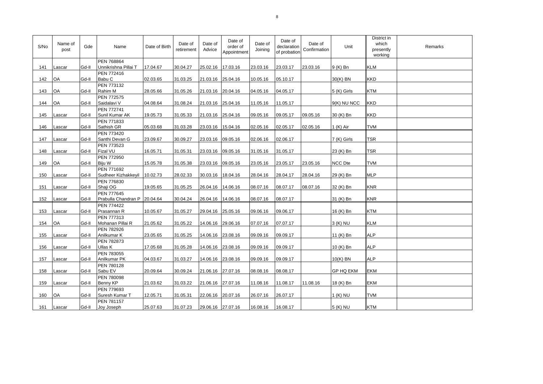| S/No | Name of<br>post | Gde   | Name                                              | Date of Birth | Date of<br>retirement | Date of<br>Advice | Date of<br>order of<br>Appointment | Date of<br>Joining | Date of<br>declaration<br>of probation | Date of<br>Confirmation | Unit             | District in<br>which<br>presently<br>working | Remarks |
|------|-----------------|-------|---------------------------------------------------|---------------|-----------------------|-------------------|------------------------------------|--------------------|----------------------------------------|-------------------------|------------------|----------------------------------------------|---------|
| 141  | Lascar          | Gd-II | PEN 768864<br>Unnikrishna Pillai T                | 17.04.67      | 30.04.27              | 25.02.16          | 17.03.16                           | 23.03.16           | 23.03.17                               | 23.03.16                | 9 (K) Bn         | <b>KLM</b>                                   |         |
| 142  | OA              | Gd-II | PEN 772416<br>Babu C                              | 02.03.65      | 31.03.25              | 21.03.16 25.04.16 |                                    | 10.05.16           | 05.10.17                               |                         | $30(K)$ BN       | <b>KKD</b>                                   |         |
| 143  | OA              | Gd-II | PEN 773132<br>Rahim M                             | 28.05.66      | 31.05.26              | 21.03.16          | 20.04.16                           | 04.05.16           | 04.05.17                               |                         | 5 (K) Girls      | <b>KTM</b>                                   |         |
| 144  | OA              | Gd-II | PEN 772575<br>Saidalavi V                         | 04.08.64      | 31.08.24              | 21.03.16 25.04.16 |                                    | 11.05.16           | 11.05.17                               |                         | 9(K) NU NCC      | <b>KKD</b>                                   |         |
| 145  | Lascar          | Gd-II | PEN 772741<br>Sunil Kumar AK                      | 19.05.73      | 31.05.33              | 21.03.16          | 25.04.16                           | 09.05.16           | 09.05.17                               | 09.05.16                | 30 (K) Bn        | <b>KKD</b>                                   |         |
| 146  | Lascar          | Gd-II | PEN 771833<br>Sathish GR                          | 05.03.68      | 31.03.28              | 23.03.16 15.04.16 |                                    | 02.05.16           | 02.05.17                               | 02.05.16                | 1 (K) Air        | <b>TVM</b>                                   |         |
| 147  | Lascar          | Gd-II | PEN 773420<br>Santhi Devan G                      | 23.09.67      | 30.09.27              | 23.03.16 09.05.16 |                                    | 02.06.16           | 02.06.17                               |                         | 7 (K) Girls      | <b>TSR</b>                                   |         |
| 148  | Lascar          | Gd-II | PEN 773523<br>Fizal VU                            | 16.05.71      | 31.05.31              | 23.03.16          | 09.05.16                           | 31.05.16           | 31.05.17                               |                         | 23 (K) Bn        | <b>TSR</b>                                   |         |
| 149  | OA              | Gd-II | PEN 772950<br>Biju W                              | 15.05.78      | 31.05.38              | 23.03.16 09.05.16 |                                    | 23.05.16           | 23.05.17                               | 23.05.16                | <b>NCC Dte</b>   | <b>TVM</b>                                   |         |
| 150  | Lascar          | Gd-II | PEN 771692<br>Sudheer Kizhakkeyil                 | 10.02.73      | 28.02.33              | 30.03.16          | 18.04.16                           | 28.04.16           | 28.04.17                               | 28.04.16                | 29 (K) Bn        | <b>MLP</b>                                   |         |
| 151  | Lascar          | Gd-II | PEN 776830<br>Shaji OG                            | 19.05.65      | 31.05.25              | 26.04.16          | 14.06.16                           | 08.07.16           | 08.07.17                               | 08.07.16                | 32 (K) Bn        | <b>KNR</b>                                   |         |
| 152  | Lascar          | Gd-II | <b>PEN 777645</b><br>Prabulla Chandran P 20.04.64 |               | 30.04.24              | 26.04.16          | 14.06.16                           | 08.07.16           | 08.07.17                               |                         | 31 (K) Bn        | <b>KNR</b>                                   |         |
| 153  | Lascar          | Gd-II | <b>PEN 774422</b><br>Prasannan R                  | 10.05.67      | 31.05.27              | 29.04.16          | 25.05.16                           | 09.06.16           | 09.06.17                               |                         | 16 (K) Bn        | <b>KTM</b>                                   |         |
| 154  | OA              | Gd-II | PEN 777313<br>Mohanan Pillai R                    | 21.05.62      | 31.05.22              | 14.06.16          | 29.06.16                           | 07.07.16           | 07.07.17                               |                         | 3 (K) NU         | <b>KLM</b>                                   |         |
| 155  | Lascar          | Gd-II | PEN 782926<br>Anilkumar K                         | 23.05.65      | 31.05.25              | 14.06.16          | 23.08.16                           | 09.09.16           | 09.09.17                               |                         | 11 (K) Bn        | <b>ALP</b>                                   |         |
| 156  | Lascar          | Gd-II | PEN 782873<br>Ullas K                             | 17.05.68      | 31.05.28              | 14.06.16          | 23.08.16                           | 09.09.16           | 09.09.17                               |                         | 10 (K) Bn        | <b>ALP</b>                                   |         |
| 157  | Lascar          | Gd-II | PEN 783055<br>Anilkumar <sub>PK</sub>             | 04.03.67      | 31.03.27              | 14.06.16 23.08.16 |                                    | 09.09.16           | 09.09.17                               |                         | $10(K)$ BN       | <b>ALP</b>                                   |         |
| 158  | Lascar          | Gd-II | PEN 780128<br>Sabu EV                             | 20.09.64      | 30.09.24              | 21.06.16          | 27.07.16                           | 08.08.16           | 08.08.17                               |                         | <b>GP HQ EKM</b> | <b>EKM</b>                                   |         |
| 159  | Lascar          | Gd-II | PEN 780098<br>Benny KP                            | 21.03.62      | 31.03.22              | 21.06.16          | 27.07.16                           | 11.08.16           | 11.08.17                               | 11.08.16                | 18 (K) Bn        | <b>EKM</b>                                   |         |
| 160  | <b>OA</b>       | Gd-II | PEN 779693<br>Suresh Kumar T                      | 12.05.71      | 31.05.31              | 22.06.16          | 20.07.16                           | 26.07.16           | 26.07.17                               |                         | 1 (K) NU         | <b>TVM</b>                                   |         |
| 161  | Lascar          | Gd-II | PEN 781157<br>Joy Joseph                          | 25.07.63      | 31.07.23              | 29.06.16 27.07.16 |                                    | 16.08.16           | 16.08.17                               |                         | 5 (K) NU         | <b>KTM</b>                                   |         |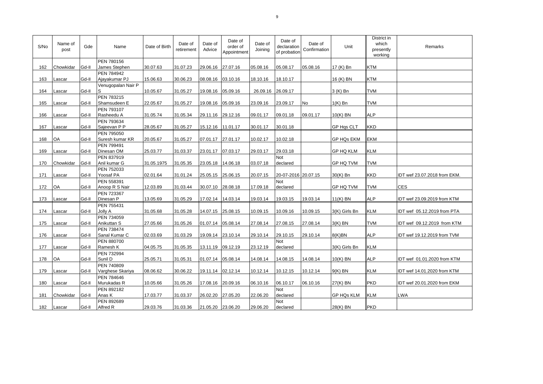| S/No | Name of<br>post | Gde   | Name                               | Date of Birth | Date of<br>retirement | Date of<br>Advice | Date of<br>order of<br>Appointment | Date of<br>Joining | Date of<br>declaration<br>of probation | Date of<br>Confirmation | Unit              | District in<br>which<br>presently<br>working | Remarks                      |
|------|-----------------|-------|------------------------------------|---------------|-----------------------|-------------------|------------------------------------|--------------------|----------------------------------------|-------------------------|-------------------|----------------------------------------------|------------------------------|
| 162  | Chowkidar       | Gd-II | <b>PEN 780156</b><br>James Stephen | 30.07.63      | 31.07.23              | 29.06.16          | 27.07.16                           | 05.08.16           | 05.08.17                               | 05.08.16                | 17 (K) Bn         | <b>KTM</b>                                   |                              |
| 163  | Lascar          | Gd-II | PEN 784942<br>Ajayakumar PJ        | 15.06.63      | 30.06.23              | 08.08.16          | 03.10.16                           | 18.10.16           | 18.10.17                               |                         | 16 (K) BN         | <b>KTM</b>                                   |                              |
| 164  | Lascar          | Gd-II | Venugopalan Nair P<br>S            | 10.05.67      | 31.05.27              | 19.08.16          | 05.09.16                           | 26.09.16           | 26.09.17                               |                         | 3 (K) Bn          | <b>TVM</b>                                   |                              |
| 165  | Lascar          | Gd-II | PEN 783215<br>Shamsudeen E         | 22.05.67      | 31.05.27              | 19.08.16          | 05.09.16                           | 23.09.16           | 23.09.17                               | <b>No</b>               | $1(K)$ Bn         | <b>TVM</b>                                   |                              |
| 166  | Lascar          | Gd-II | PEN 793107<br>Rasheedu A           | 31.05.74      | 31.05.34              | 29.11.16 29.12.16 |                                    | 09.01.17           | 09.01.18                               | 09.01.17                | 10(K) BN          | <b>ALP</b>                                   |                              |
| 167  | Lascar          | Gd-II | PEN 793634<br>Sajeevan P P         | 28.05.67      | 31.05.27              | 15.12.16 11.01.17 |                                    | 30.01.17           | 30.01.18                               |                         | <b>GP Hgs CLT</b> | <b>KKD</b>                                   |                              |
| 168  | OA              | Gd-II | PEN 795050<br>Suresh kumar KR      | 20.05.67      | 31.05.27              | 07.01.17          | 27.01.17                           | 10.02.17           | 10.02.18                               |                         | <b>GP HQs EKM</b> | <b>EKM</b>                                   |                              |
| 169  | Lascar          | Gd-II | PEN 799491<br>Dinesan OM           | 25.03.77      | 31.03.37              | 23.01.17          | 07.03.17                           | 29.03.17           | 29.03.18                               |                         | <b>GP HQ KLM</b>  | <b>KLM</b>                                   |                              |
| 170  | Chowkidar       | Gd-II | PEN 837919<br>Anil kumar G         | 31.05.1975    | 31.05.35              | 23.05.18          | 14.06.18                           | 03.07.18           | <b>Not</b><br>declared                 |                         | <b>GP HQ TVM</b>  | <b>TVM</b>                                   |                              |
| 171  | Lascar          | Gd-II | PEN 752033<br>Yoosaf PA            | 02.01.64      | 31.01.24              | 25.05.15          | 25.06.15                           | 20.07.15           | 20-07-2016 20.07.15                    |                         | 30(K) Bn          | <b>KKD</b>                                   | IDT wef 23.07.2018 from EKM. |
| 172  | OA              | Gd-II | PEN 558391<br>Anoop R S Nair       | 12.03.89      | 31.03.44              | 30.07.10          | 28.08.18                           | 17.09.18           | Not<br>declared                        |                         | <b>GP HQ TVM</b>  | <b>TVM</b>                                   | <b>CES</b>                   |
| 173  | Lascar          | Gd-II | PEN 723367<br>Dinesan P            | 13.05.69      | 31.05.29              | 17.02.14          | 14.03.14                           | 19.03.14           | 19.03.15                               | 19.03.14                | $11(K)$ BN        | <b>ALP</b>                                   | IDT wef 23.09.2019 from KTM  |
| 174  | Lascar          | Gd-II | PEN 755431<br>Jolly A              | 31.05.68      | 31.05.28              | 14.07.15          | 25.08.15                           | 10.09.15           | 10.09.16                               | 10.09.15                | 3(K) Girls Bn     | <b>KLM</b>                                   | IDT wef 05.12.2019 from PTA  |
| 175  | Lascar          | Gd-II | PEN 734059<br>Anikuttan S          | 27.05.66      | 31.05.26              | 01.07.14          | 05.08.14                           | 27.08.14           | 27.08.15                               | 27.08.14                | $3(K)$ BN         | <b>TVM</b>                                   | IDT wef 09.12.2019 from KTM  |
| 176  | Lascar          | Gd-II | <b>PEN 738474</b><br>Sanal Kumar C | 02.03.69      | 31.03.29              | 19.09.14          | 23.10.14                           | 29.10.14           | 29.10.15                               | 29.10.14                | 8(K)BN            | <b>ALP</b>                                   | IDT wef 19.12.2019 from TVM  |
| 177  | Lascar          | Gd-II | PEN 880700<br>Ramesh K             | 04.05.75      | 31.05.35              | 13.11.19          | 09.12.19                           | 23.12.19           | <b>Not</b><br>declared                 |                         | 3(K) Girls Bn     | <b>KLM</b>                                   |                              |
| 178  | <b>OA</b>       | Gd-II | PEN 732994<br>Sunil D              | 25.05.71      | 31.05.31              | 01.07.14 05.08.14 |                                    | 14.08.14           | 14.08.15                               | 14.08.14                | $10(K)$ BN        | <b>ALP</b>                                   | IDT wef 01.01.2020 from KTM  |
| 179  | Lascar          | Gd-II | PEN 740809<br>Varghese Skariya     | 08.06.62      | 30.06.22              | 19.11.14          | 02.12.14                           | 10.12.14           | 10.12.15                               | 10.12.14                | $9(K)$ BN         | <b>KLM</b>                                   | IDT wef 14.01.2020 from KTM  |
| 180  | Lascar          | Gd-II | PEN 784646<br>Murukadas R          | 10.05.66      | 31.05.26              | 17.08.16          | 20.09.16                           | 06.10.16           | 06.10.17                               | 06.10.16                | $27(K)$ BN        | <b>PKD</b>                                   | IDT wef 20.01.2020 from EKM  |
| 181  | Chowkidar       | Gd-II | PEN 892182<br>Anas K               | 17.03.77      | 31.03.37              | 26.02.20          | 27.05.20                           | 22.06.20           | Not<br>declared                        |                         | <b>GP HQs KLM</b> | <b>KLM</b>                                   | <b>LWA</b>                   |
| 182  | Lascar          | Gd-II | PEN 892689<br>Alfred R             | 29.03.76      | 31.03.36              | 21.05.20 23.06.20 |                                    | 29.06.20           | Not<br>declared                        |                         | 28(K) BN          | <b>PKD</b>                                   |                              |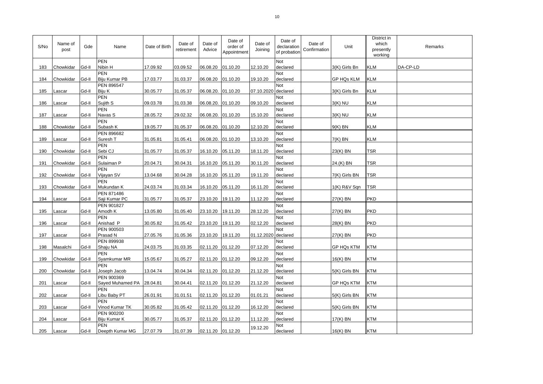| S/No | Name of<br>post | Gde   | Name                                    | Date of Birth | Date of<br>retirement | Date of<br>Advice  | Date of<br>order of<br>Appointment | Date of<br>Joining  | Date of<br>declaration<br>of probation | Date of<br>Confirmation | Unit              | District in<br>which<br>presently<br>working | Remarks  |
|------|-----------------|-------|-----------------------------------------|---------------|-----------------------|--------------------|------------------------------------|---------------------|----------------------------------------|-------------------------|-------------------|----------------------------------------------|----------|
| 183  | Chowkidar       | Gd-II | <b>PEN</b><br>Nibin H                   | 17.09.92      | 03.09.52              | 06.08.20           | 01.10.20                           | 12.10.20            | <b>Not</b><br>declared                 |                         | 3(K) Girls Bn     | <b>KLM</b>                                   | DA-CP-LD |
| 184  | Chowkidar       | Gd-II | <b>PEN</b><br>Biju Kumar PB             | 17.03.77      | 31.03.37              | 06.08.20           | 01.10.20                           | 19.10.20            | <b>Not</b><br>declared                 |                         | <b>GP HQs KLM</b> | KLM                                          |          |
| 185  | Lascar          | Gd-II | PEN 896547<br>Biju K                    | 30.05.77      | 31.05.37              | 06.08.20. 01.10.20 |                                    | 07.10.2020 declared | Not                                    |                         | 3(K) Girls Bn     | <b>KLM</b>                                   |          |
| 186  | Lascar          | Gd-II | <b>PEN</b><br>Sujith S                  | 09.03.78      | 31.03.38              | 06.08.20. 01.10.20 |                                    | 09.10.20            | Not<br>declared                        |                         | $3(K)$ NU         | <b>KLM</b>                                   |          |
| 187  | Lascar          | Gd-II | <b>PEN</b><br>Navas S                   | 28.05.72      | 29.02.32              | 06.08.20. 01.10.20 |                                    | 15.10.20            | Not<br>declared                        |                         | $3(K)$ NU         | <b>KLM</b>                                   |          |
| 188  | Chowkidar       | Gd-II | <b>PEN</b><br>Subash K                  | 19.05.77      | 31.05.37              | 06.08.20. 01.10.20 |                                    | 12.10.20            | <b>Not</b><br>declared                 |                         | $9(K)$ BN         | <b>KLM</b>                                   |          |
| 189  | Lascar          | Gd-II | PEN 896682<br>Suresh T                  | 31.05.81      | 31.05.41              | 06.08.20. 01.10.20 |                                    | 13.10.20            | Not<br>declared                        |                         | $7(K)$ BN         | <b>KLM</b>                                   |          |
| 190  | Chowkidar       | Gd-II | <b>PEN</b><br>Sebi CJ                   | 31.05.77      | 31.05.37              | 16.10.20           | 05.11.20                           | 18.11.20            | <b>Not</b><br>declared                 |                         | 23(K) BN          | <b>TSR</b>                                   |          |
| 191  | Chowkidar       | Gd-II | <b>PEN</b><br>Sulaiman P                | 20.04.71      | 30.04.31              | 16.10.20           | 05.11.20                           | 30.11.20            | <b>Not</b><br>declared                 |                         | 24.(K) BN         | <b>TSR</b>                                   |          |
| 192  | Chowkidar       | Gd-II | <b>PEN</b><br>Vijayan SV                | 13.04.68      | 30.04.28              | 16.10.20           | 05.11.20                           | 19.11.20            | <b>Not</b><br>declared                 |                         | 7(K) Girls BN     | <b>TSR</b>                                   |          |
| 193  | Chowkidar       | Gd-II | <b>PEN</b><br>Mukundan K                | 24.03.74      | 31.03.34              | 16.10.20           | 05.11.20                           | 16.11.20            | Not<br>declared                        |                         | $1(K)$ R&V Sqn    | <b>TSR</b>                                   |          |
| 194  | Lascar          | Gd-II | PEN 871486<br>Saji Kumar PC             | 31.05.77      | 31.05.37              | 23.10.20 19.11.20  |                                    | 11.12.20            | Not<br>declared                        |                         | $27(K)$ BN        | <b>PKD</b>                                   |          |
| 195  | Lascar          | Gd-II | PEN 901827<br>Amodh K                   | 13.05.80      | 31.05.40              | 23.10.20           | 19.11.20                           | 28.12.20            | <b>Not</b><br>declared                 |                         | $27(K)$ BN        | <b>PKD</b>                                   |          |
| 196  | Lascar          | Gd-II | <b>PEN</b><br>Anishad P                 | 30.05.82      | 31.05.42              | 23.10.20           | 19.11.20                           | 02.12.20            | Not<br>declared                        |                         | 28(K) BN          | <b>PKD</b>                                   |          |
| 197  | Lascar          | Gd-II | PEN 900503<br>Prasad N                  | 27.05.76      | 31.05.36              | 23.10.20           | 19.11.20                           | 01.12.2020 declared | Not                                    |                         | 27(K) BN          | <b>PKD</b>                                   |          |
| 198  | Masalchi        | Gd-II | PEN 899938<br>Shaju NA                  | 24.03.75      | 31.03.35              | 02.11.20           | 01.12.20                           | 07.12.20            | Not<br>declared                        |                         | <b>GP HQs KTM</b> | KTM                                          |          |
| 199  | Chowkidar       | Gd-II | <b>PEN</b><br>Syamkumar MR              | 15.05.67      | 31.05.27              | 02.11.20 01.12.20  |                                    | 09.12.20            | <b>Not</b><br>declared                 |                         | 16(K) BN          | <b>KTM</b>                                   |          |
| 200  | Chowkidar       | Gd-II | <b>PEN</b><br>Joseph Jacob              | 13.04.74      | 30.04.34              | 02.11.20 01.12.20  |                                    | 21.12.20            | Not<br>declared                        |                         | 5(K) Girls BN     | <b>KTM</b>                                   |          |
| 201  | Lascar          | Gd-II | PEN 900369<br>Sayed Muhamed PA 28.04.81 |               | 30.04.41              | 02.11.20 01.12.20  |                                    | 21.12.20            | Not<br>declared                        |                         | <b>GP HQs KTM</b> | KTM                                          |          |
| 202  | Lascar          | Gd-II | <b>PEN</b><br>Libu Baby PT              | 26.01.91      | 31.01.51              | 02.11.20 01.12.20  |                                    | 01.01.21            | <b>Not</b><br>declared                 |                         | 5(K) Girls BN     | KTM                                          |          |
| 203  | Lascar          | Gd-II | <b>PEN</b><br>Vinod Kumar TK            | 30.05.82      | 31.05.42              | 02.11.20 01.12.20  |                                    | 16.12.20            | Not<br>declared                        |                         | 5(K) Girls BN     | <b>KTM</b>                                   |          |
| 204  | Lascar          | Gd-II | PEN 900200<br>Biju Kumar K              | 30.05.77      | 31.05.37              | 02.11.20           | 01.12.20                           | 11.12.20            | Not<br>declared                        |                         | 17(K) BN          | <b>KTM</b>                                   |          |
| 205  | Lascar          | Gd-II | <b>PEN</b><br>Deepth Kumar MG           | 27.07.79      | 31.07.39              | 02.11.20 01.12.20  |                                    | 19.12.20            | Not<br>declared                        |                         | 16(K) BN          | <b>KTM</b>                                   |          |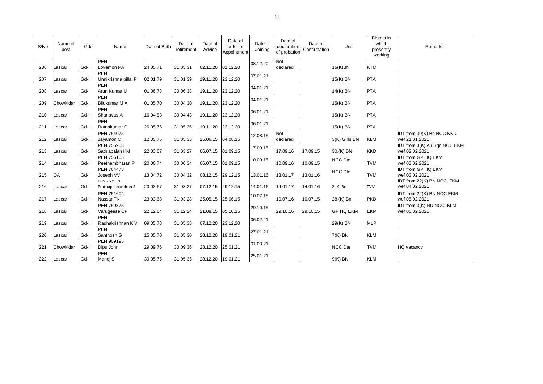| S/No | Name of<br>post | Gde   | Name                               | Date of Birth | Date of<br>retirement | Date of<br>Advice  | Date of<br>order of<br>Appointment | Date of<br>Joining | Date of<br>declaration<br>of probation | Date of<br>Confirmation | Unit             | District in<br>which<br>presently<br>working | Remarks                                         |
|------|-----------------|-------|------------------------------------|---------------|-----------------------|--------------------|------------------------------------|--------------------|----------------------------------------|-------------------------|------------------|----------------------------------------------|-------------------------------------------------|
| 206  | Lascar          | Gd-II | <b>PEN</b><br>Lovemon PA           | 24.05.71      | 31.05.31              | 02.11.20           | 01.12.20                           | 08.12.20           | Not<br>declared                        |                         | 16(K)BN          | <b>KTM</b>                                   |                                                 |
| 207  | Lascar          | Gd-II | <b>PFN</b><br>Unnikrishna pillai P | 02.01.79      | 31.01.39              | 19.11.20 23.12.20  |                                    | 07.01.21           |                                        |                         | 15(K) BN         | <b>PTA</b>                                   |                                                 |
| 208  | Lascar          | Gd-II | <b>PFN</b><br>Arun Kumar U         | 01.06.78      | 30.06.38              | 19.11.20 23.12.20  |                                    | 04.01.21           |                                        |                         | 14(K) BN         | <b>PTA</b>                                   |                                                 |
| 209  | Chowkidar       | Gd-II | <b>PEN</b><br>Bijukumar M A        | 01.05.70      | 30.04.30              | 19.11.20. 23.12.20 |                                    | 04.01.21           |                                        |                         | 15(K) BN         | <b>PTA</b>                                   |                                                 |
| 210  | Lascar          | Gd-II | <b>PEN</b><br>Shanavas A           | 16.04.83      | 30.04.43              | 19.11.20 23.12.20  |                                    | 06.01.21           |                                        |                         | 15(K) BN         | <b>PTA</b>                                   |                                                 |
| 211  | Lascar          | Gd-II | <b>PEN</b><br>Ratnakumar C         | 26.05.76      | 31.05.36              | 19.11.20           | 23.12.20.                          | 06.01.21           |                                        |                         | 15(K) BN         | <b>PTA</b>                                   |                                                 |
| 212  | Lascar          | Gd-II | PEN 754075<br>Jayamon C            | 12.05.75      | 31.05.35              | 25.06.15           | 04.08.15                           | 12.08.15           | Not<br>declared                        |                         | 3(K) Girls BN    | <b>KLM</b>                                   | IDT from 30(K) Bn NCC KKD<br>wef 21.01.2021     |
| 213  | Lascar          | Gd-II | PEN 755903<br>Sathiapalan KM       | 22.03.67      | 31.03.27              | 06.07.15           | 01.09.15                           | 17.09.15           | 17.09.16                               | 17.09.15                | 30.(K) BN        | <b>KKD</b>                                   | IDT from 3(K) Air Sqn NCC EKM<br>wef 02.02.2021 |
| 214  | Lascar          | Gd-II | PEN 756105<br>Peethambharan P      | 20.06.74      | 30.06.34              | 06.07.15           | 01.09.15                           | 10.09.15           | 10.09.16                               | 10.09.15                | <b>NCC Dte</b>   | <b>TVM</b>                                   | <b>IDT from GP HQ EKM</b><br>wef 03.02.2021     |
| 215  | OA              | Gd-II | PEN 764473<br>Joseph VV            | 13.04.72      | 30.04.32              | 08.12.15           | 29.12.15                           | 13.01.16           | 13.01.17                               | 13.01.16                | NCC Dte          | <b>TVM</b>                                   | <b>IDT from GP HQ EKM</b><br>wef 03.02.2021     |
| 216  | Lascar          | Gd-II | PEN 763919<br>Prathapachandran S   | 20.03.67      | 31.03.27              | 07.12.15           | 29.12.15                           | 14.01.16           | 14.01.17                               | 14.01.16                | 2 (K) Bn         | <b>TVM</b>                                   | IDT from 22(K) BN NCC, EKM<br>wef 04.02.2021    |
| 217  | Lascar          | Gd-II | PEN 751604<br>Nassar TK            | 23.03.68      | 31.03.28              | 25.05.15           | 25.06.15                           | 10.07.15           | 10.07.16                               | 10.07.15                | 28 (K) Bn        | <b>PKD</b>                                   | IDT from 22(K) BN NCC EKM<br>wef 05.02.2021     |
| 218  | Lascar          | Gd-II | PEN 759875<br>Varugeese CP         | 22.12.64      | 31.12.24              | 21.08.15           | 05.10.15                           | 29.10.15           | 29.10.16                               | 29.10.15                | <b>GP HQ EKM</b> | <b>EKM</b>                                   | IDT from 3(K) NU NCC, KLM<br>wef 05.02.2021     |
| 219  | Lascar          | Gd-II | <b>PEN</b><br>Radhakrishnan K V    | 09.05.78      | 31.05.38              | 07.12.20           | 23.12.20                           | 06.02.21           |                                        |                         | 29(K) BN         | <b>MLP</b>                                   |                                                 |
| 220  | Lascar          | Gd-II | <b>PEN</b><br>Santhosh G           | 15.05.70      | 31.05.30              | 28.12.20           | 19.01.21                           | 27.01.21           |                                        |                         | $7(K)$ BN        | <b>KLM</b>                                   |                                                 |
| 221  | Chowkidar       | Gd-II | PEN 909195<br>Dipu John            | 29.09.76      | 30.09.36              | 28.12.20           | 25.01.21                           | 01.03.21           |                                        |                         | <b>NCC Dte</b>   | <b>TVM</b>                                   | HQ vacancy                                      |
| 222  | Lascar          | Gd-II | <b>PEN</b><br>Manoj S              | 30.05.75      | 31.05.35              | 28.12.20 19.01.21  |                                    | 25.01.21           |                                        |                         | $9(K)$ BN        | <b>KLM</b>                                   |                                                 |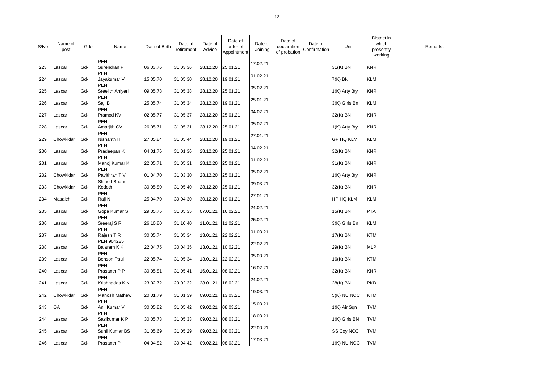| S/No | Name of<br>post | Gde   | Name                         | Date of Birth | Date of<br>retirement | Date of<br>Advice | Date of<br>order of<br>Appointment | Date of<br>Joining | Date of<br>declaration<br>of probation | Date of<br>Confirmation | Unit             | District in<br>which<br>presently<br>working | Remarks |
|------|-----------------|-------|------------------------------|---------------|-----------------------|-------------------|------------------------------------|--------------------|----------------------------------------|-------------------------|------------------|----------------------------------------------|---------|
| 223  | .ascar          | Gd-II | <b>PEN</b><br>Surendran P    | 06.03.76      | 31.03.36              | 28.12.20          | 25.01.21                           | 17.02.21           |                                        |                         | 31(K) BN         | <b>KNR</b>                                   |         |
| 224  | Lascar          | Gd-II | <b>PEN</b><br>Jayakumar V    | 15.05.70      | 31.05.30              | 28.12.20          | 19.01.21                           | 01.02.21           |                                        |                         | $7(K)$ BN        | <b>KLM</b>                                   |         |
| 225  | Lascar          | Gd-II | PEN<br>Sreejith Aniyeri      | 09.05.78      | 31.05.38              | 28.12.20          | 25.01.21                           | 05.02.21           |                                        |                         | 1(K) Arty Bty    | <b>KNR</b>                                   |         |
| 226  | Lascar          | Gd-II | PEN<br>Saji B                | 25.05.74      | 31.05.34              | 28.12.20          | 19.01.21                           | 25.01.21           |                                        |                         | 3(K) Girls Bn    | KLM                                          |         |
| 227  | Lascar          | Gd-II | <b>PEN</b><br>Pramod KV      | 02.05.77      | 31.05.37              | 28.12.20          | 25.01.21                           | 04.02.21           |                                        |                         | 32(K) BN         | <b>KNR</b>                                   |         |
| 228  | Lascar          | Gd-II | <b>PEN</b><br>Amarjith CV    | 26.05.71      | 31.05.31              | 28.12.20 25.01.21 |                                    | 05.02.21           |                                        |                         | 1(K) Arty Bty    | <b>KNR</b>                                   |         |
| 229  | Chowkidar       | Gd-II | PEN<br>Nishanth H            | 27.05.84      | 31.05.44              | 28.12.20          | 19.01.21                           | 27.01.21           |                                        |                         | <b>GP HQ KLM</b> | <b>KLM</b>                                   |         |
| 230  | Lascar          | Gd-II | <b>PEN</b><br>Pradeepan K    | 04.01.76      | 31.01.36              | 28.12.20          | 25.01.21                           | 04.02.21           |                                        |                         | 32(K) BN         | <b>KNR</b>                                   |         |
| 231  | Lascar          | Gd-II | <b>PEN</b><br>Manoj Kumar K  | 22.05.71      | 31.05.31              | 28.12.20          | 25.01.21                           | 01.02.21           |                                        |                         | 31(K) BN         | <b>KNR</b>                                   |         |
| 232  | Chowkidar       | Gd-II | <b>PEN</b><br>Pavithran TV   | 01.04.70      | 31.03.30              | 28.12.20          | 25.01.21                           | 05.02.21           |                                        |                         | 1(K) Arty Bty    | <b>KNR</b>                                   |         |
| 233  | Chowkidar       | Gd-II | Shinod Bhanu<br>Kodoth       | 30.05.80      | 31.05.40              | 28.12.20          | 25.01.21                           | 09.03.21           |                                        |                         | 32(K) BN         | <b>KNR</b>                                   |         |
| 234  | Masalchi        | Gd-II | <b>PEN</b><br>Raji N         | 25.04.70      | 30.04.30              | 30.12.20          | 19.01.21                           | 27.01.21           |                                        |                         | HP HQ KLM        | <b>KLM</b>                                   |         |
| 235  | Lascar          | Gd-II | <b>PEN</b><br>Gopa Kumar S   | 29.05.75      | 31.05.35              | 07.01.21          | 16.02.21                           | 24.02.21           |                                        |                         | 15(K) BN         | <b>PTA</b>                                   |         |
| 236  | Lascar          | Gd-II | <b>PEN</b><br>Sreeraj S R    | 26.10.80      | 31.10.40              | 11.01.21          | 11.02.21                           | 25.02.21           |                                        |                         | 3(K) Girls Bn    | KLM                                          |         |
| 237  | Lascar          | Gd-II | <b>PEN</b><br>Rajesh T R     | 30.05.74      | 31.05.34              | 13.01.21          | 22.02.21                           | 01.03.21           |                                        |                         | 17(K) BN         | <b>KTM</b>                                   |         |
| 238  | Lascar          | Gd-II | PEN 904225<br>Balaram K K    | 22.04.75      | 30.04.35              | 13.01.21          | 10.02.21                           | 22.02.21           |                                        |                         | 29(K) BN         | <b>MLP</b>                                   |         |
| 239  | Lascar          | Gd-II | PEN<br><b>Benson Paul</b>    | 22.05.74      | 31.05.34              | 13.01.21          | 22.02.21                           | 05.03.21           |                                        |                         | 16(K) BN         | <b>KTM</b>                                   |         |
| 240  | Lascar          | Gd-II | <b>PEN</b><br>Prasanth P P   | 30.05.81      | 31.05.41              | 16.01.21          | 08.02.21                           | 16.02.21           |                                        |                         | 32(K) BN         | <b>KNR</b>                                   |         |
| 241  | Lascar          | Gd-II | PEN<br>Krishnadas K K        | 23.02.72      | 29.02.32              | 28.01.21          | 18.02.21                           | 24.02.21           |                                        |                         | 28(K) BN         | <b>PKD</b>                                   |         |
| 242  | Chowkidar       | Gd-II | <b>PEN</b><br>Manosh Mathew  | 20.01.79      | 31.01.39              | 09.02.21          | 13.03.21                           | 19.03.21           |                                        |                         | 5(K) NU NCC      | <b>KTM</b>                                   |         |
| 243  | OA              | Gd-II | <b>PEN</b><br>Anil Kumar V   | 30.05.82      | 31.05.42              | 09.02.21          | 08.03.21                           | 15.03.21           |                                        |                         | 1(K) Air Sqn     | <b>TVM</b>                                   |         |
| 244  | Lascar          | Gd-II | <b>PEN</b><br>Sasikumar K P  | 30.05.73      | 31.05.33              | 09.02.21          | 08.03.21                           | 18.03.21           |                                        |                         | 1(K) Girls BN    | <b>TVM</b>                                   |         |
| 245  | .ascar          | Gd-II | <b>PEN</b><br>Sunil Kumar BS | 31.05.69      | 31.05.29              | 09.02.21          | 08.03.21                           | 22.03.21           |                                        |                         | SS Coy NCC       | TVM                                          |         |
| 246  | Lascar          | Gd-II | PEN<br>Prasanth P            | 04.04.82      | 30.04.42              | 09.02.21 08.03.21 |                                    | 17.03.21           |                                        |                         | $1(K)$ NU NCC    | <b>TVM</b>                                   |         |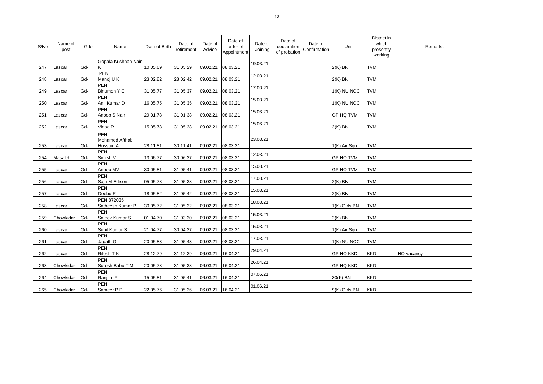| S/No | Name of<br>post | Gde   | Name                                             | Date of Birth | Date of<br>retirement | Date of<br>Advice | Date of<br>order of<br>Appointment | Date of<br>Joining | Date of<br>declaration<br>of probation | Date of<br>Confirmation | Unit             | District in<br>which<br>presently<br>working | Remarks    |
|------|-----------------|-------|--------------------------------------------------|---------------|-----------------------|-------------------|------------------------------------|--------------------|----------------------------------------|-------------------------|------------------|----------------------------------------------|------------|
| 247  | Lascar          | Gd-II | Gopala Krishnan Nair<br>Κ                        | 10.05.69      | 31.05.29              | 09.02.21          | 08.03.21                           | 19.03.21           |                                        |                         | $2(K)$ BN        | <b>TVM</b>                                   |            |
| 248  | Lascar          | Gd-II | PEN<br>Manoj U K                                 | 23.02.82      | 28.02.42              | 09.02.21          | 08.03.21                           | 12.03.21           |                                        |                         | $2(K)$ BN        | <b>TVM</b>                                   |            |
| 249  | Lascar          | Gd-II | <b>PEN</b><br>Binumon Y C                        | 31.05.77      | 31.05.37              | 09.02.21          | 08.03.21                           | 17.03.21           |                                        |                         | 1(K) NU NCC      | <b>TVM</b>                                   |            |
| 250  | Lascar          | Gd-II | <b>PEN</b><br>Anil Kumar D                       | 16.05.75      | 31.05.35              | 09.02.21          | 08.03.21                           | 15.03.21           |                                        |                         | 1(K) NU NCC      | <b>TVM</b>                                   |            |
| 251  | Lascar          | Gd-II | <b>PEN</b><br>Anoop S Nair                       | 29.01.78      | 31.01.38              | 09.02.21          | 08.03.21                           | 15.03.21           |                                        |                         | <b>GP HQ TVM</b> | <b>TVM</b>                                   |            |
| 252  | Lascar          | Gd-II | <b>PEN</b><br>Vinod R                            | 15.05.78      | 31.05.38              | 09.02.21          | 08.03.21                           | 15.03.21           |                                        |                         | $3(K)$ BN        | <b>TVM</b>                                   |            |
| 253  | Lascar          | Gd-II | <b>PEN</b><br><b>Mohamed Afthab</b><br>Hussain A | 28.11.81      | 30.11.41              | 09.02.21          | 08.03.21                           | 23.03.21           |                                        |                         | 1(K) Air Sqn     | <b>TVM</b>                                   |            |
| 254  | Masalchi        | Gd-II | <b>PEN</b><br>Simish V                           | 13.06.77      | 30.06.37              | 09.02.21          | 08.03.21                           | 12.03.21           |                                        |                         | <b>GP HQ TVM</b> | <b>TVM</b>                                   |            |
| 255  | Lascar          | Gd-II | <b>PEN</b><br>Anoop MV                           | 30.05.81      | 31.05.41              | 09.02.21          | 08.03.21                           | 15.03.21           |                                        |                         | <b>GP HQ TVM</b> | <b>TVM</b>                                   |            |
| 256  | Lascar          | Gd-II | <b>PFN</b><br>Saju M Edison                      | 05.05.78      | 31.05.38              | 09.02.21          | 08.03.21                           | 17.03.21           |                                        |                         | $2(K)$ BN        | <b>TVM</b>                                   |            |
| 257  | Lascar          | Gd-II | <b>PEN</b><br>Deebu <sub>R</sub>                 | 18.05.82      | 31.05.42              | 09.02.21          | 08.03.21                           | 15.03.21           |                                        |                         | $2(K)$ BN        | <b>TVM</b>                                   |            |
| 258  | Lascar          | Gd-II | PEN 872035<br>Satheesh Kumar P                   | 30.05.72      | 31.05.32              | 09.02.21          | 08.03.21                           | 18.03.21           |                                        |                         | 1(K) Girls BN    | <b>TVM</b>                                   |            |
| 259  | Chowkidar       | Gd-II | <b>PEN</b><br>Sajeev Kumar S                     | 01.04.70      | 31.03.30              | 09.02.21          | 08.03.21                           | 15.03.21           |                                        |                         | $2(K)$ BN        | <b>TVM</b>                                   |            |
| 260  | Lascar          | Gd-II | <b>PEN</b><br>Sunil Kumar S                      | 21.04.77      | 30.04.37              | 09.02.21          | 08.03.21                           | 15.03.21           |                                        |                         | 1(K) Air Sqn     | <b>TVM</b>                                   |            |
| 261  | Lascar          | Gd-II | <b>PEN</b><br>Jagath G                           | 20.05.83      | 31.05.43              | 09.02.21          | 08.03.21                           | 17.03.21           |                                        |                         | 1(K) NU NCC      | <b>TVM</b>                                   |            |
| 262  | Lascar          | Gd-II | <b>PEN</b><br>Rilesh T K                         | 28.12.79      | 31.12.39              | 06.03.21          | 16.04.21                           | 29.04.21           |                                        |                         | <b>GP HQ KKD</b> | <b>KKD</b>                                   | HQ vacancy |
| 263  | Chowkidar       | Gd-II | <b>PEN</b><br>Suresh Babu T M                    | 20.05.78      | 31.05.38              | 06.03.21          | 16.04.21                           | 26.04.21           |                                        |                         | <b>GP HQ KKD</b> | <b>KKD</b>                                   |            |
| 264  | Chowkidar       | Gd-II | <b>PEN</b><br>Ranjith P                          | 15.05.81      | 31.05.41              | 06.03.21          | 16.04.21                           | 07.05.21           |                                        |                         | 30(K) BN         | <b>KKD</b>                                   |            |
| 265  | Chowkidar       | Gd-II | <b>PEN</b><br>Sameer P P                         | 22.05.76      | 31.05.36              | 06.03.21 16.04.21 |                                    | 01.06.21           |                                        |                         | 9(K) Girls BN    | <b>KKD</b>                                   |            |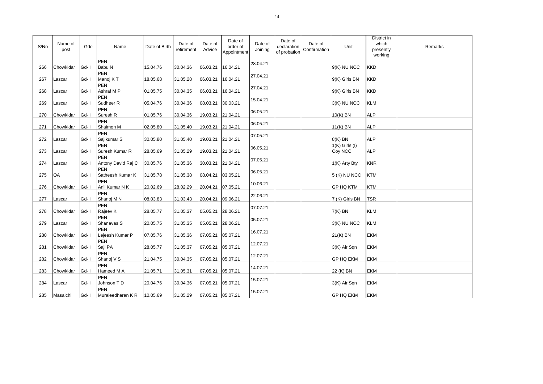| S/No | Name of<br>post | Gde   | Name                             | Date of Birth | Date of<br>retirement | Date of<br>Advice  | Date of<br>order of<br>Appointment | Date of<br>Joining | Date of<br>declaration<br>of probation | Date of<br>Confirmation | Unit                          | District in<br>which<br>presently<br>working | Remarks |
|------|-----------------|-------|----------------------------------|---------------|-----------------------|--------------------|------------------------------------|--------------------|----------------------------------------|-------------------------|-------------------------------|----------------------------------------------|---------|
| 266  | Chowkidar       | Gd-II | PEN<br>Babu N                    | 15.04.76      | 30.04.36              | 06.03.21           | 16.04.21                           | 28.04.21           |                                        |                         | 9(K) NU NCC                   | <b>KKD</b>                                   |         |
| 267  | Lascar          | Gd-II | PEN<br>Manoj KT                  | 18.05.68      | 31.05.28              | 06.03.21           | 16.04.21                           | 27.04.21           |                                        |                         | 9(K) Girls BN                 | <b>KKD</b>                                   |         |
| 268  | Lascar          | Gd-II | PEN<br>Ashraf M P                | 01.05.75      | 30.04.35              | 06.03.21           | 16.04.21                           | 27.04.21           |                                        |                         | 9(K) Girls BN                 | <b>KKD</b>                                   |         |
| 269  | Lascar          | Gd-II | PEN<br>Sudheer <sub>R</sub>      | 05.04.76      | 30.04.36              | 08.03.21           | 30.03.21                           | 15.04.21           |                                        |                         | 3(K) NU NCC                   | <b>KLM</b>                                   |         |
| 270  | Chowkidar       | Gd-II | PEN<br>Suresh R                  | 01.05.76      | 30.04.36              | 19.03.21           | 21.04.21                           | 06.05.21           |                                        |                         | $10(K)$ BN                    | <b>ALP</b>                                   |         |
| 271  | Chowkidar       | Gd-II | PEN<br>Shaimon M                 | 02.05.80      | 31.05.40              | 19.03.21           | 21.04.21                           | 06.05.21           |                                        |                         | $11(K)$ BN                    | <b>ALP</b>                                   |         |
| 272  | Lascar          | Gd-II | <b>PEN</b><br>Sajikumar S        | 30.05.80      | 31.05.40              | 19.03.21           | 21.04.21                           | 07.05.21           |                                        |                         | 8(K) BN                       | <b>ALP</b>                                   |         |
| 273  | Lascar          | Gd-II | PEN<br>Suresh Kumar R            | 28.05.69      | 31.05.29              | 19.03.21           | 21.04.21                           | 06.05.21           |                                        |                         | $1(K)$ Girls $(I)$<br>Coy NCC | <b>ALP</b>                                   |         |
| 274  | Lascar          | Gd-II | <b>PEN</b><br>Antony David Raj C | 30.05.76      | 31.05.36              | 30.03.21           | 21.04.21                           | 07.05.21           |                                        |                         | 1(K) Arty Bty                 | <b>KNR</b>                                   |         |
| 275  | OA              | Gd-II | PEN<br>Satheesh Kumar K          | 31.05.78      | 31.05.38              | 08.04.21           | 03.05.21                           | 06.05.21           |                                        |                         | 5 (K) NU NCC                  | <b>KTM</b>                                   |         |
| 276  | Chowkidar       | Gd-II | PEN<br>Anil Kumar N K            | 20.02.69      | 28.02.29              | 20.04.21           | 07.05.21                           | 10.06.21           |                                        |                         | <b>GP HQ KTM</b>              | <b>KTM</b>                                   |         |
| 277  | Lascar          | Gd-II | PEN<br>Shanoj M N                | 08.03.83      | 31.03.43              | 20.04.21           | 09.06.21                           | 22.06.21           |                                        |                         | 7 (K) Girls BN                | <b>TSR</b>                                   |         |
| 278  | Chowkidar       | Gd-II | PEN<br>Rajeev K                  | 28.05.77      | 31.05.37              | 05.05.21           | 28.06.21                           | 07.07.21           |                                        |                         | $7(K)$ BN                     | <b>KLM</b>                                   |         |
| 279  | Lascar          | Gd-II | <b>PEN</b><br>Shanavas S         | 20.05.75      | 31.05.35              | 05.05.21           | 28.06.21                           | 05.07.21           |                                        |                         | 3(K) NU NCC                   | <b>KLM</b>                                   |         |
| 280  | Chowkidar       | Gd-II | PEN<br>Lejeesh Kumar P           | 07.05.76      | 31.05.36              | 07.05.21           | 05.07.21                           | 16.07.21           |                                        |                         | 21(K) BN                      | <b>EKM</b>                                   |         |
| 281  | Chowkidar       | Gd-II | PEN<br>Saji PA                   | 28.05.77      | 31.05.37              | 07.05.21           | 05.07.21                           | 12.07.21           |                                        |                         | 3(K) Air Sqn                  | <b>EKM</b>                                   |         |
| 282  | Chowkidar       | Gd-II | <b>PEN</b><br>Shanoj V S         | 21.04.75      | 30.04.35              | 07.05.21           | 05.07.21                           | 12.07.21           |                                        |                         | <b>GP HQ EKM</b>              | <b>EKM</b>                                   |         |
| 283  | Chowkidar       | Gd-II | PEN<br>Hameed M A                | 21.05.71      | 31.05.31              | 07.05.21           | 05.07.21                           | 14.07.21           |                                        |                         | 22 (K) BN                     | EKM                                          |         |
| 284  | Lascar          | Gd-II | <b>PEN</b><br>Johnson TD         | 20.04.76      | 30.04.36              | 07.05.21           | 05.07.21                           | 15.07.21           |                                        |                         | 3(K) Air Sqn                  | <b>EKM</b>                                   |         |
| 285  | Masalchi        | Gd-II | PEN<br>Muraleedharan KR 10.05.69 |               | 31.05.29              | 07.05.21  05.07.21 |                                    | 15.07.21           |                                        |                         | <b>GP HQ EKM</b>              | <b>EKM</b>                                   |         |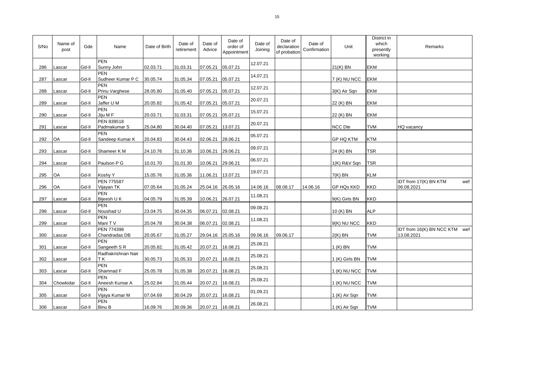| S/No | Name of<br>post | Gde   | Name                               | Date of Birth | Date of<br>retirement | Date of<br>Advice | Date of<br>order of<br>Appointment | Date of<br>Joining | Date of<br>declaration<br>of probation | Date of<br>Confirmation | Unit              | District in<br>which<br>presently<br>working | Remarks                                     |
|------|-----------------|-------|------------------------------------|---------------|-----------------------|-------------------|------------------------------------|--------------------|----------------------------------------|-------------------------|-------------------|----------------------------------------------|---------------------------------------------|
| 286  | Lascar          | Gd-II | PEN<br>Sunny John                  | 02.03.71      | 31.03.31              | 07.05.21          | 05.07.21                           | 12.07.21           |                                        |                         | $21(K)$ BN        | EKM                                          |                                             |
| 287  | Lascar          | Gd-II | <b>PEN</b><br>Sudheer Kumar P C    | 30.05.74      | 31.05.34              | 07.05.21          | 05.07.21                           | 14.07.21           |                                        |                         | 7 (K) NU NCC      | EKM                                          |                                             |
| 288  | Lascar          | Gd-II | PEN<br>Prinu Varghese              | 28.05.80      | 31.05.40              | 07.05.21          | 05.07.21                           | 12.07.21           |                                        |                         | 3(K) Air Sqn      | <b>EKM</b>                                   |                                             |
| 289  | Lascar          | Gd-II | <b>PEN</b><br>Jaffer U M           | 20.05.82      | 31.05.42              | 07.05.21          | 05.07.21                           | 20.07.21           |                                        |                         | 22 (K) BN         | <b>EKM</b>                                   |                                             |
| 290  | Lascar          | Gd-II | PEN<br>Jiju M F                    | 20.03.71      | 31.03.31              | 07.05.21          | 05.07.21                           | 15.07.21           |                                        |                         | 22 (K) BN         | EKM                                          |                                             |
| 291  | Lascar          | Gd-II | PEN 839518<br>Padmakumar S         | 25.04.80      | 30.04.40              | 07.05.21          | 13.07.21                           | 20.07.21           |                                        |                         | <b>NCC Dte</b>    | <b>TVM</b>                                   | HQ vacancy                                  |
| 292  | OA              | Gd-II | PEN<br>Sandeep Kumar K             | 20.04.83      | 30.04.43              | 02.06.21          | 28.06.21                           | 05.07.21           |                                        |                         | <b>GP HQ KTM</b>  | <b>KTM</b>                                   |                                             |
| 293  | Lascar          | Gd-II | Shameer K M                        | 24.10.76      | 31.10.36              | 10.06.21          | 29.06.21                           | 09.07.21           |                                        |                         | 24 (K) BN         | <b>TSR</b>                                   |                                             |
| 294  | Lascar          | Gd-II | Paulson P G                        | 10.01.70      | 31.01.30              | 10.06.21          | 29.06.21                           | 06.07.21           |                                        |                         | 1(K) R&V Sqn      | <b>TSR</b>                                   |                                             |
| 295  | OA              | Gd-II | Koshy Y                            | 15.05.76      | 31.05.36              | 11.06.21          | 13.07.21                           | 19.07.21           |                                        |                         | $7(K)$ BN         | <b>KLM</b>                                   |                                             |
| 296  | OA              | Gd-II | <b>PEN 775587</b><br>Vijayan TK    | 07.05.64      | 31.05.24              | 25.04.16          | 26.05.16                           | 14.06.16           | 08.08.17                               | 14.06.16                | <b>GP HQs KKD</b> | <b>KKD</b>                                   | IDT from 17(K) BN KTM<br>wef<br>06.08.2021  |
| 297  | Lascar          | Gd-II | PEN<br>Bijeesh U K                 | 04.05.79      | 31.05.39              | 10.06.21          | 26.07.21                           | 11.08.21           |                                        |                         | 9(K) Girls BN     | <b>KKD</b>                                   |                                             |
| 298  | Lascar          | Gd-II | PEN<br>Noushad U                   | 23.04.75      | 30.04.35              | 06.07.21          | 02.08.21                           | 09.08.21           |                                        |                         | 10 (K) BN         | <b>ALP</b>                                   |                                             |
| 299  | Lascar          | Gd-II | PEN<br>Mani TV                     | 20.04.78      | 30.04.38              | 06.07.21          | 02.08.21                           | 11.08.21           |                                        |                         | $9(K)$ NU NCC     | <b>KKD</b>                                   |                                             |
| 300  | Lascar          | Gd-II | <b>PEN 774398</b><br>Chandradas DB | 20.05.67      | 31.05.27              | 29.04.16          | 25.05.16                           | 09.06.16           | 09.06.17                               |                         | $2(K)$ BN         | <b>TVM</b>                                   | IDT from 16(K) BN NCC KTM wef<br>13.08.2021 |
| 301  | Lascar          | Gd-II | <b>PEN</b><br>Sangeeth S R         | 20.05.82.     | 31.05.42              | 20.07.21          | 16.08.21                           | 25.08.21           |                                        |                         | 1 (K) BN          | <b>TVM</b>                                   |                                             |
| 302  | Lascar          | Gd-II | Radhakrishnan Nair<br>ΤK           | 30.05.73      | 31.05.33              | 20.07.21          | 16.08.21                           | 25.08.21           |                                        |                         | 1 (K) Girls BN    | <b>TVM</b>                                   |                                             |
| 303  | Lascar          | Gd-II | PEN<br>Shamnad F                   | 25.05.78      | 31.05.38              | 20.07.21          | 16.08.21                           | 25.08.21           |                                        |                         | 1 (K) NU NCC      | <b>TVM</b>                                   |                                             |
| 304  | Chowkidar       | Gd-II | PEN<br>Aneesh Kumar A              | 25.02.84      | 31.05.44              | 20.07.21          | 16.08.21                           | 25.08.21           |                                        |                         | 1 (K) NU NCC      | <b>TVM</b>                                   |                                             |
| 305  | Lascar          | Gd-II | PEN<br>Vijaya Kumar M              | 07.04.69      | 30.04.29              | 20.07.21          | 16.08.21                           | 01.09.21           |                                        |                         | 1 (K) Air Sqn     | <b>TVM</b>                                   |                                             |
| 306  | Lascar          | Gd-II | PEN<br><b>Binu B</b>               | 16.09.76      | 30.09.36              | 20.07.21 16.08.21 |                                    | 26.08.21           |                                        |                         | 1 (K) Air Sqn     | <b>TVM</b>                                   |                                             |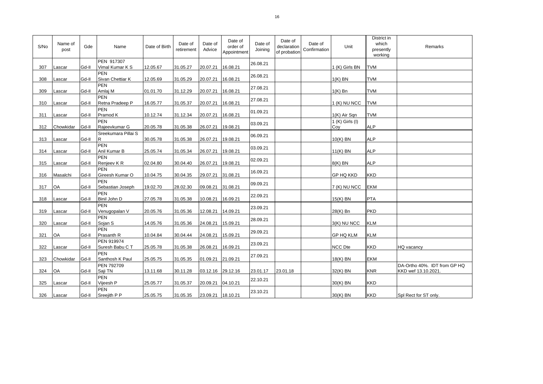| S/No | Name of<br>post | Gde   | Name                           | Date of Birth | Date of<br>retirement | Date of<br>Advice | Date of<br>order of<br>Appointment | Date of<br>Joining | Date of<br>declaration<br>of probation | Date of<br>Confirmation | Unit                   | District in<br>which<br>presently<br>working | Remarks                                             |
|------|-----------------|-------|--------------------------------|---------------|-----------------------|-------------------|------------------------------------|--------------------|----------------------------------------|-------------------------|------------------------|----------------------------------------------|-----------------------------------------------------|
| 307  | Lascar          | Gd-II | PEN 917307<br>Vimal Kumar K S  | 12.05.67      | 31.05.27              | 20.07.21          | 16.08.21                           | 26.08.21           |                                        |                         | 1 (K) Girls BN         | <b>TVM</b>                                   |                                                     |
| 308  | Lascar          | Gd-II | <b>PEN</b><br>Sivan Chettiar K | 12.05.69      | 31.05.29              | 20.07.21          | 16.08.21                           | 26.08.21           |                                        |                         | $1(K)$ BN              | <b>TVM</b>                                   |                                                     |
| 309  | Lascar          | Gd-II | <b>PEN</b><br>Amlaj M          | 01.01.70      | 31.12.29              | 20.07.21          | 16.08.21                           | 27.08.21           |                                        |                         | $1(K)$ Bn              | <b>TVM</b>                                   |                                                     |
| 310  | Lascar          | Gd-II | <b>PEN</b><br>Retna Pradeep P  | 16.05.77      | 31.05.37              | 20.07.21          | 16.08.21                           | 27.08.21           |                                        |                         | 1 (K) NU NCC           | <b>TVM</b>                                   |                                                     |
| 311  | Lascar          | Gd-II | <b>PEN</b><br>Pramod K         | 10.12.74      | 31.12.34              | 20.07.21          | 16.08.21                           | 01.09.21           |                                        |                         | 1(K) Air Sqn           | <b>TVM</b>                                   |                                                     |
| 312  | Chowkidar       | Gd-II | <b>PEN</b><br>Rajeevkumar G    | 20.05.78      | 31.05.38              | 26.07.21          | 19.08.21                           | 03.09.21           |                                        |                         | 1 (K) Girls (I)<br>Coy | <b>ALP</b>                                   |                                                     |
| 313  | Lascar          | Gd-II | Sreekumara Pillai S<br>R       | 30.05.78      | 31.05.38              | 26.07.21          | 19.08.21                           | 06.09.21           |                                        |                         | $10(K)$ BN             | <b>ALP</b>                                   |                                                     |
| 314  | Lascar          | Gd-II | <b>PEN</b><br>Anil Kumar B     | 25.05.74      | 31.05.34              | 26.07.21          | 19.08.21                           | 03.09.21           |                                        |                         | $11(K)$ BN             | <b>ALP</b>                                   |                                                     |
| 315  | Lascar          | Gd-II | <b>PEN</b><br>Renjeev KR       | 02.04.80      | 30.04.40              | 26.07.21          | 19.08.21                           | 02.09.21           |                                        |                         | 8(K) BN                | <b>ALP</b>                                   |                                                     |
| 316  | Masalchi        | Gd-II | <b>PEN</b><br>Gireesh Kumar O  | 10.04.75      | 30.04.35              | 29.07.21          | 31.08.21                           | 16.09.21           |                                        |                         | <b>GP HQ KKD</b>       | <b>KKD</b>                                   |                                                     |
| 317  | OA              | Gd-II | <b>PEN</b><br>Sebastian Joseph | 19.02.70      | 28.02.30              | 09.08.21          | 31.08.21                           | 09.09.21           |                                        |                         | 7 (K) NU NCC           | <b>EKM</b>                                   |                                                     |
| 318  | Lascar          | Gd-II | <b>PEN</b><br>Binil John D     | 27.05.78      | 31.05.38              | 10.08.21          | 16.09.21                           | 22.09.21           |                                        |                         | 15(K) BN               | <b>PTA</b>                                   |                                                     |
| 319  | Lascar          | Gd-II | <b>PEN</b><br>Venugopalan V    | 20.05.76      | 31.05.36              | 12.08.21          | 14.09.21                           | 23.09.21           |                                        |                         | 28(K) Bn               | <b>PKD</b>                                   |                                                     |
| 320  | Lascar          | Gd-II | <b>PEN</b><br>Sojan S          | 14.05.76      | 31.05.36              | 24.08.21          | 15.09.21                           | 28.09.21           |                                        |                         | 3(K) NU NCC            | <b>KLM</b>                                   |                                                     |
| 321  | OA              | Gd-II | <b>PEN</b><br>Prasanth R       | 10.04.84      | 30.04.44              | 24.08.21          | 15.09.21                           | 29.09.21           |                                        |                         | <b>GP HQ KLM</b>       | <b>KLM</b>                                   |                                                     |
| 322  | Lascar          | Gd-II | PEN 919974<br>Suresh Babu C T  | 25.05.78      | 31.05.38              | 26.08.21          | 16.09.21                           | 23.09.21           |                                        |                         | <b>NCC Dte</b>         | <b>KKD</b>                                   | <b>HQ</b> vacancy                                   |
| 323  | Chowkidar       | Gd-II | <b>PEN</b><br>Santhosh K Paul  | 25.05.75      | 31.05.35              | 01.09.21          | 21.09.21                           | 27.09.21           |                                        |                         | 18(K) BN               | <b>EKM</b>                                   |                                                     |
| 324  | OA              | Gd-II | PEN 792709<br>Saji TN          | 13.11.68      | 30.11.28              | 03.12.16 29.12.16 |                                    | 23.01.17           | 23.01.18                               |                         | 32(K) BN               | <b>KNR</b>                                   | DA-Ortho 40%. IDT from GP HQ<br>KKD wef 13.10.2021. |
| 325  | Lascar          | Gd-II | <b>PEN</b><br>Vijeesh P        | 25.05.77      | 31.05.37              | 20.09.21          | 04.10.21                           | 22.10.21           |                                        |                         | 30(K) BN               | <b>KKD</b>                                   |                                                     |
| 326  | Lascar          | Gd-II | <b>PEN</b><br>Sreejith P P     | 25.05.75      | 31.05.35              | 23.09.21 18.10.21 |                                    | 23.10.21           |                                        |                         | 30(K) BN               | <b>KKD</b>                                   | Spl Rect for ST only.                               |